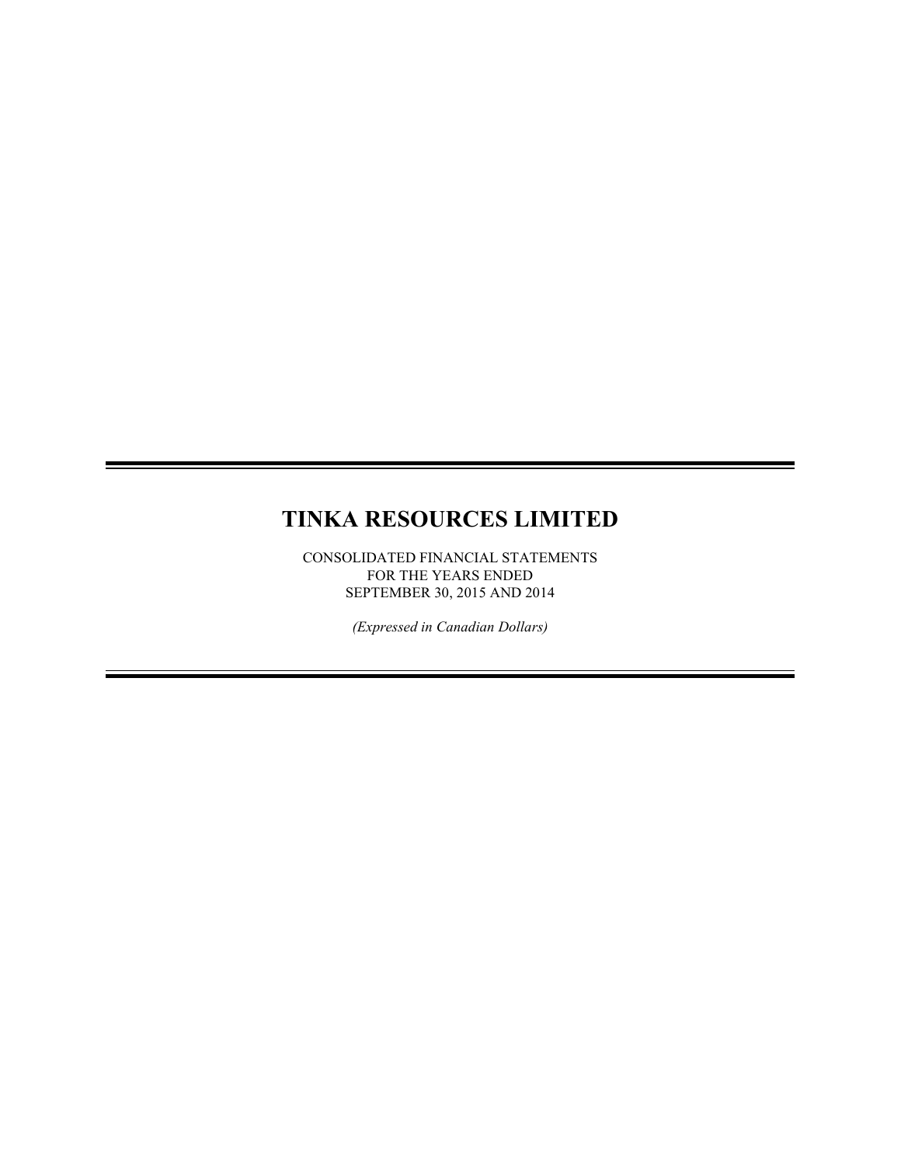# **TINKA RESOURCES LIMITED**

CONSOLIDATED FINANCIAL STATEMENTS FOR THE YEARS ENDED SEPTEMBER 30, 2015 AND 2014

*(Expressed in Canadian Dollars)*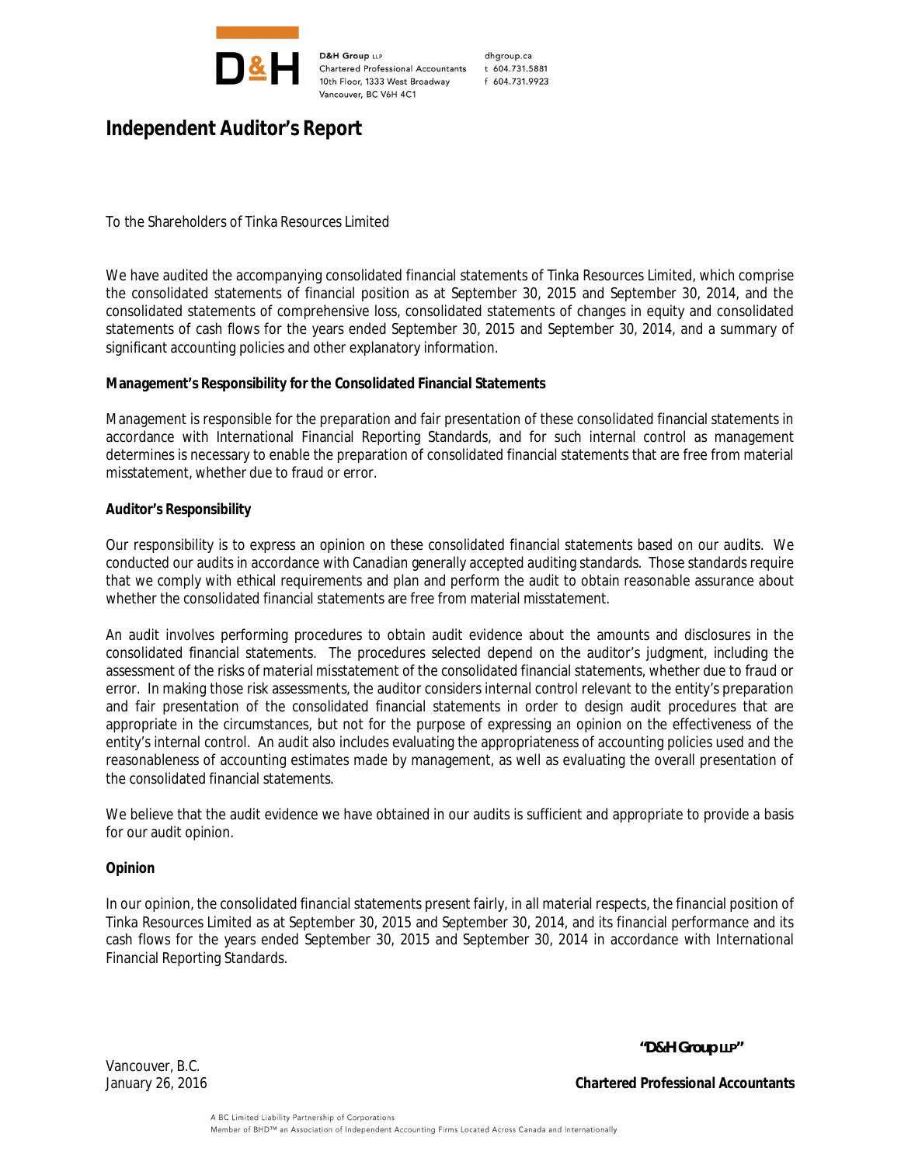

D&H Group LLP Chartered Professional Accountants t 604.731.5881 10th Floor, 1333 West Broadway Vancouver, BC V6H 4C1

dharoup.ca f 604.731.9923

# **Independent Auditor's Report**

To the Shareholders of Tinka Resources Limited

We have audited the accompanying consolidated financial statements of Tinka Resources Limited, which comprise the consolidated statements of financial position as at September 30, 2015 and September 30, 2014, and the consolidated statements of comprehensive loss, consolidated statements of changes in equity and consolidated statements of cash flows for the years ended September 30, 2015 and September 30, 2014, and a summary of significant accounting policies and other explanatory information.

**Management's Responsibility for the Consolidated Financial Statements**

Management is responsible for the preparation and fair presentation of these consolidated financial statements in accordance with International Financial Reporting Standards, and for such internal control as management determines is necessary to enable the preparation of consolidated financial statements that are free from material misstatement, whether due to fraud or error.

## **Auditor's Responsibility**

Our responsibility is to express an opinion on these consolidated financial statements based on our audits. We conducted our audits in accordance with Canadian generally accepted auditing standards. Those standards require that we comply with ethical requirements and plan and perform the audit to obtain reasonable assurance about whether the consolidated financial statements are free from material misstatement.

An audit involves performing procedures to obtain audit evidence about the amounts and disclosures in the consolidated financial statements. The procedures selected depend on the auditor's judgment, including the assessment of the risks of material misstatement of the consolidated financial statements, whether due to fraud or error. In making those risk assessments, the auditor considers internal control relevant to the entity's preparation and fair presentation of the consolidated financial statements in order to design audit procedures that are appropriate in the circumstances, but not for the purpose of expressing an opinion on the effectiveness of the entity's internal control. An audit also includes evaluating the appropriateness of accounting policies used and the reasonableness of accounting estimates made by management, as well as evaluating the overall presentation of the consolidated financial statements.

We believe that the audit evidence we have obtained in our audits is sufficient and appropriate to provide a basis for our audit opinion.

## **Opinion**

In our opinion, the consolidated financial statements present fairly, in all material respects, the financial position of Tinka Resources Limited as at September 30, 2015 and September 30, 2014, and its financial performance and its cash flows for the years ended September 30, 2015 and September 30, 2014 in accordance with International Financial Reporting Standards.

Vancouver, B.C.

*"D&H Group LLP"*

January 26, 2016 **Chartered Professional Accountants**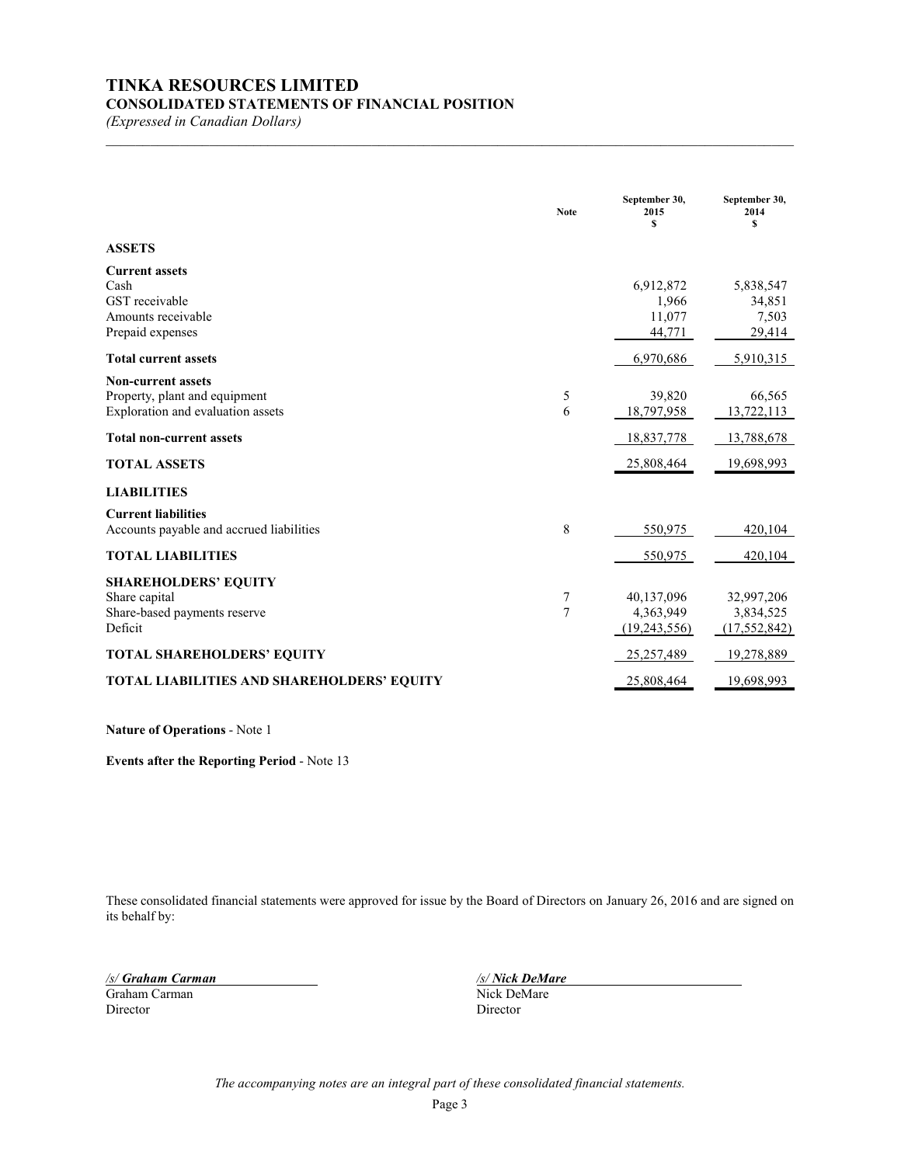## **TINKA RESOURCES LIMITED**

## **CONSOLIDATED STATEMENTS OF FINANCIAL POSITION**

*(Expressed in Canadian Dollars)*

|                                                                                                 | <b>Note</b> | September 30,<br>2015<br>\$               | September 30,<br>2014<br>\$               |
|-------------------------------------------------------------------------------------------------|-------------|-------------------------------------------|-------------------------------------------|
| <b>ASSETS</b>                                                                                   |             |                                           |                                           |
| <b>Current assets</b><br>Cash<br>GST receivable<br>Amounts receivable<br>Prepaid expenses       |             | 6,912,872<br>1,966<br>11,077<br>44,771    | 5,838,547<br>34,851<br>7,503<br>29,414    |
| <b>Total current assets</b>                                                                     |             | 6,970,686                                 | 5,910,315                                 |
| <b>Non-current assets</b><br>Property, plant and equipment<br>Exploration and evaluation assets | 5<br>6      | 39,820<br>18,797,958                      | 66,565<br>13,722,113                      |
| <b>Total non-current assets</b>                                                                 |             | 18,837,778                                | 13,788,678                                |
| <b>TOTAL ASSETS</b>                                                                             |             | 25,808,464                                | 19,698,993                                |
| <b>LIABILITIES</b>                                                                              |             |                                           |                                           |
| <b>Current liabilities</b><br>Accounts payable and accrued liabilities                          | 8           | 550,975                                   | 420,104                                   |
| <b>TOTAL LIABILITIES</b>                                                                        |             | 550,975                                   | 420,104                                   |
| <b>SHAREHOLDERS' EQUITY</b><br>Share capital<br>Share-based payments reserve<br>Deficit         | 7<br>7      | 40,137,096<br>4,363,949<br>(19, 243, 556) | 32,997,206<br>3,834,525<br>(17, 552, 842) |
| <b>TOTAL SHAREHOLDERS' EQUITY</b>                                                               |             | 25,257,489                                | 19,278,889                                |
| TOTAL LIABILITIES AND SHAREHOLDERS' EQUITY                                                      |             | 25,808,464                                | 19,698,993                                |

 $\mathcal{L}_\mathcal{L} = \{ \mathcal{L}_\mathcal{L} = \{ \mathcal{L}_\mathcal{L} = \{ \mathcal{L}_\mathcal{L} = \{ \mathcal{L}_\mathcal{L} = \{ \mathcal{L}_\mathcal{L} = \{ \mathcal{L}_\mathcal{L} = \{ \mathcal{L}_\mathcal{L} = \{ \mathcal{L}_\mathcal{L} = \{ \mathcal{L}_\mathcal{L} = \{ \mathcal{L}_\mathcal{L} = \{ \mathcal{L}_\mathcal{L} = \{ \mathcal{L}_\mathcal{L} = \{ \mathcal{L}_\mathcal{L} = \{ \mathcal{L}_\mathcal{$ 

**Nature of Operations** - Note 1

**Events after the Reporting Period** - Note 13

These consolidated financial statements were approved for issue by the Board of Directors on January 26, 2016 and are signed on its behalf by:

*/s/ Graham Carman /s/ Nick DeMare* Graham Carman Nick Del Director Nick Del Director

Director Director

*The accompanying notes are an integral part of these consolidated financial statements.*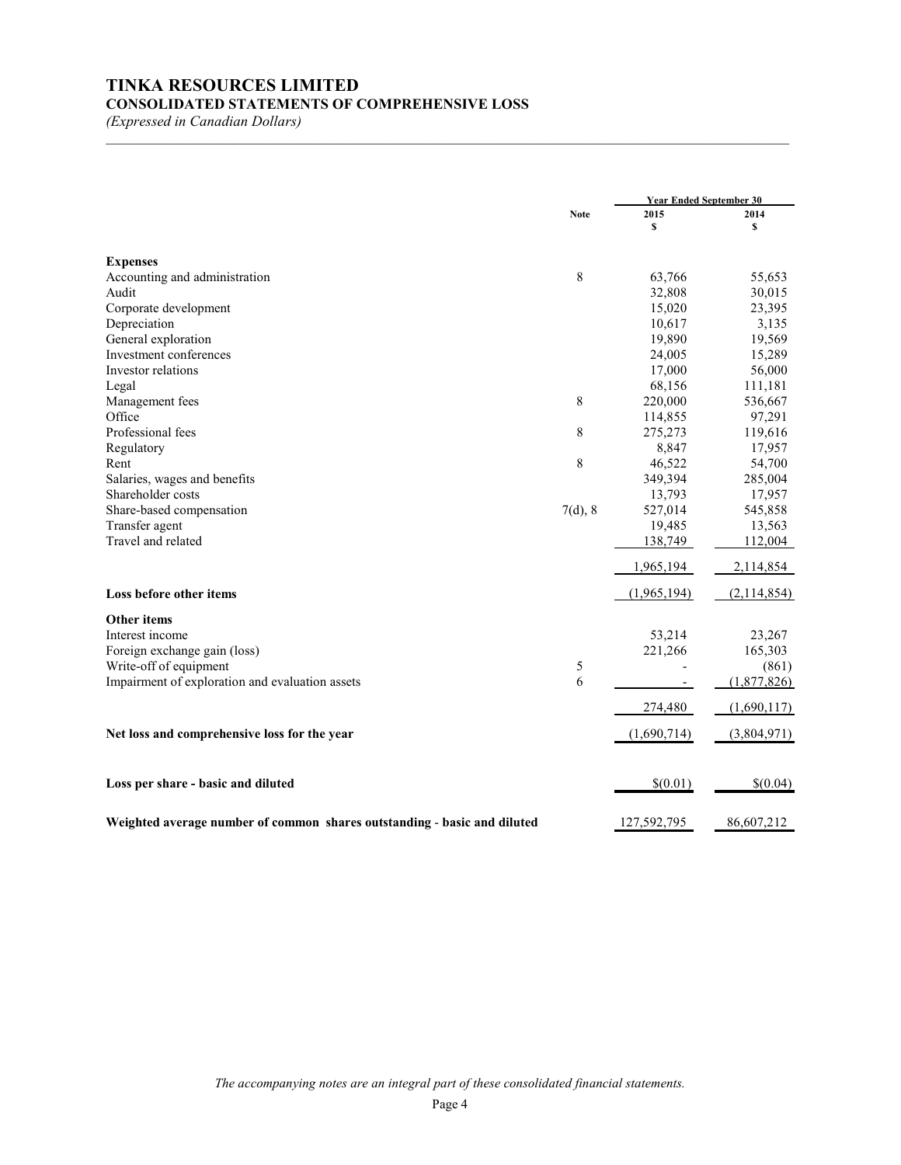## **TINKA RESOURCES LIMITED CONSOLIDATED STATEMENTS OF COMPREHENSIVE LOSS**

*(Expressed in Canadian Dollars)*  $\mathcal{L}_\mathcal{L} = \{ \mathcal{L}_\mathcal{L} = \{ \mathcal{L}_\mathcal{L} = \{ \mathcal{L}_\mathcal{L} = \{ \mathcal{L}_\mathcal{L} = \{ \mathcal{L}_\mathcal{L} = \{ \mathcal{L}_\mathcal{L} = \{ \mathcal{L}_\mathcal{L} = \{ \mathcal{L}_\mathcal{L} = \{ \mathcal{L}_\mathcal{L} = \{ \mathcal{L}_\mathcal{L} = \{ \mathcal{L}_\mathcal{L} = \{ \mathcal{L}_\mathcal{L} = \{ \mathcal{L}_\mathcal{L} = \{ \mathcal{L}_\mathcal{$ 

|                                                                          |             |             | <b>Year Ended September 30</b> |  |  |
|--------------------------------------------------------------------------|-------------|-------------|--------------------------------|--|--|
|                                                                          | <b>Note</b> | 2015<br>\$  | 2014<br>s                      |  |  |
|                                                                          |             |             |                                |  |  |
| <b>Expenses</b>                                                          |             |             |                                |  |  |
| Accounting and administration                                            | 8           | 63,766      | 55,653                         |  |  |
| Audit                                                                    |             | 32,808      | 30,015                         |  |  |
| Corporate development                                                    |             | 15,020      | 23,395                         |  |  |
| Depreciation                                                             |             | 10,617      | 3,135                          |  |  |
| General exploration                                                      |             | 19,890      | 19,569                         |  |  |
| Investment conferences                                                   |             | 24,005      | 15,289                         |  |  |
| Investor relations                                                       |             | 17,000      | 56,000                         |  |  |
| Legal                                                                    |             | 68,156      | 111,181                        |  |  |
| Management fees                                                          | 8           | 220,000     | 536,667                        |  |  |
| Office                                                                   |             | 114,855     | 97,291                         |  |  |
| Professional fees                                                        | 8           | 275,273     | 119,616                        |  |  |
| Regulatory                                                               |             | 8,847       | 17,957                         |  |  |
| Rent                                                                     | $\,8\,$     | 46,522      | 54,700                         |  |  |
| Salaries, wages and benefits                                             |             | 349,394     | 285,004                        |  |  |
| Shareholder costs                                                        |             | 13,793      | 17,957                         |  |  |
| Share-based compensation                                                 | 7(d), 8     | 527,014     | 545,858                        |  |  |
| Transfer agent                                                           |             | 19,485      | 13,563                         |  |  |
| Travel and related                                                       |             | 138,749     | 112,004                        |  |  |
|                                                                          |             |             |                                |  |  |
|                                                                          |             | 1,965,194   | 2,114,854                      |  |  |
| Loss before other items                                                  |             | (1,965,194) | (2,114,854)                    |  |  |
| <b>Other items</b>                                                       |             |             |                                |  |  |
| Interest income                                                          |             | 53,214      | 23,267                         |  |  |
| Foreign exchange gain (loss)                                             |             | 221,266     | 165,303                        |  |  |
| Write-off of equipment                                                   | 5           |             | (861)                          |  |  |
| Impairment of exploration and evaluation assets                          | 6           |             | (1,877,826)                    |  |  |
|                                                                          |             | 274,480     | (1,690,117)                    |  |  |
| Net loss and comprehensive loss for the year                             |             | (1,690,714) | (3,804,971)                    |  |  |
| Loss per share - basic and diluted                                       |             | \$(0.01)    | \$(0.04)                       |  |  |
| Weighted average number of common shares outstanding - basic and diluted |             | 127,592,795 | 86,607,212                     |  |  |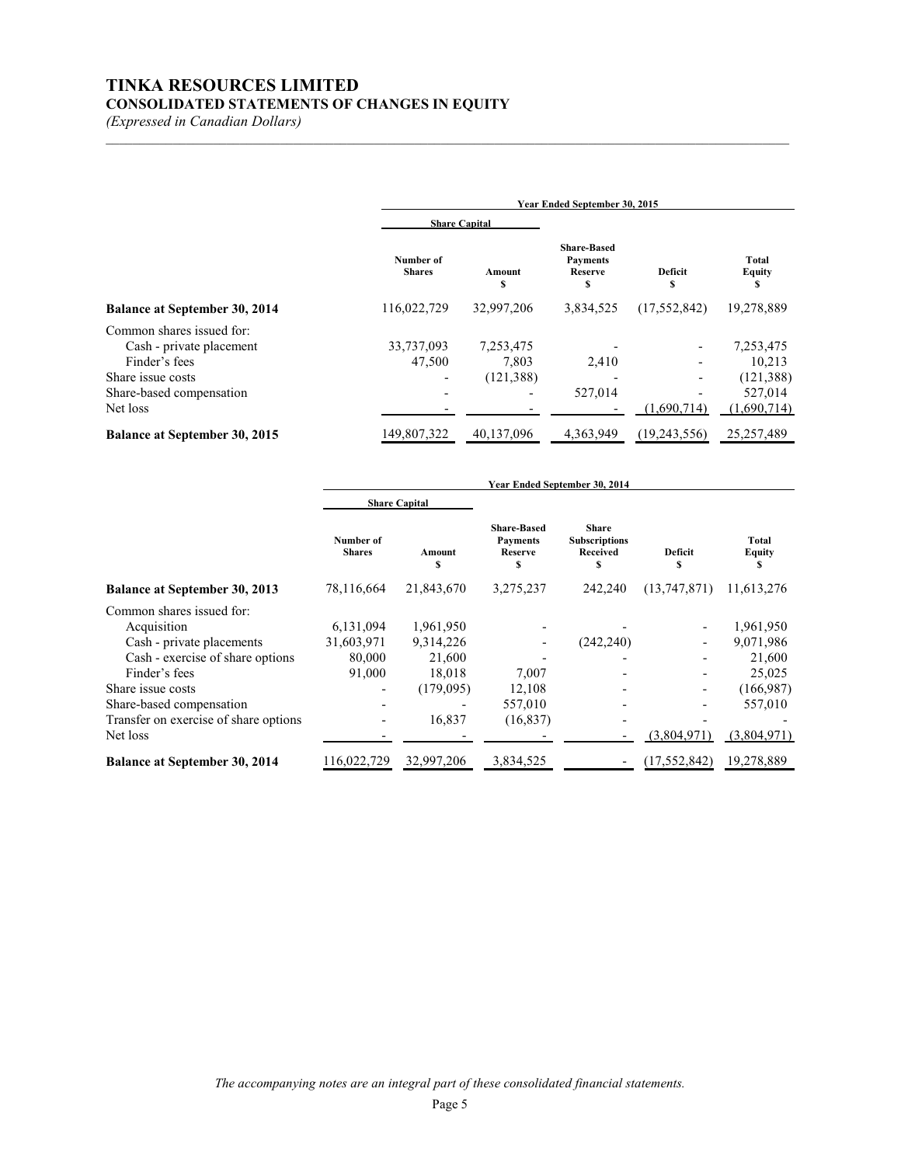## **TINKA RESOURCES LIMITED CONSOLIDATED STATEMENTS OF CHANGES IN EQUITY**

*(Expressed in Canadian Dollars)*

|                                                                                                                                     | Year Ended September 30, 2015 |                                  |                                                               |                |                                                             |  |
|-------------------------------------------------------------------------------------------------------------------------------------|-------------------------------|----------------------------------|---------------------------------------------------------------|----------------|-------------------------------------------------------------|--|
|                                                                                                                                     |                               | <b>Share Capital</b>             |                                                               |                |                                                             |  |
|                                                                                                                                     | Number of<br><b>Shares</b>    | Amount<br>S                      | <b>Share-Based</b><br><b>Payments</b><br><b>Reserve</b><br>\$ | Deficit<br>ъ   | <b>Total</b><br><b>Equity</b><br>\$                         |  |
| <b>Balance at September 30, 2014</b>                                                                                                | 116,022,729                   | 32,997,206                       | 3,834,525                                                     | (17, 552, 842) | 19,278,889                                                  |  |
| Common shares issued for:<br>Cash - private placement<br>Finder's fees<br>Share issue costs<br>Share-based compensation<br>Net loss | 33,737,093<br>47,500          | 7,253,475<br>7.803<br>(121, 388) | 2,410<br>527,014                                              | (1,690,714)    | 7,253,475<br>10.213<br>(121, 388)<br>527,014<br>(1,690,714) |  |
| <b>Balance at September 30, 2015</b>                                                                                                | 149,807,322                   | 40,137,096                       | 4,363,949                                                     | (19,243,556)   | 25,257,489                                                  |  |

 $\mathcal{L}_\mathcal{L} = \{ \mathcal{L}_\mathcal{L} = \{ \mathcal{L}_\mathcal{L} = \{ \mathcal{L}_\mathcal{L} = \{ \mathcal{L}_\mathcal{L} = \{ \mathcal{L}_\mathcal{L} = \{ \mathcal{L}_\mathcal{L} = \{ \mathcal{L}_\mathcal{L} = \{ \mathcal{L}_\mathcal{L} = \{ \mathcal{L}_\mathcal{L} = \{ \mathcal{L}_\mathcal{L} = \{ \mathcal{L}_\mathcal{L} = \{ \mathcal{L}_\mathcal{L} = \{ \mathcal{L}_\mathcal{L} = \{ \mathcal{L}_\mathcal{$ 

|                                       | Year Ended September 30, 2014 |                      |                                                         |                                                        |                |                        |
|---------------------------------------|-------------------------------|----------------------|---------------------------------------------------------|--------------------------------------------------------|----------------|------------------------|
|                                       |                               | <b>Share Capital</b> |                                                         |                                                        |                |                        |
|                                       | Number of<br><b>Shares</b>    | Amount<br>S          | <b>Share-Based</b><br><b>Payments</b><br><b>Reserve</b> | <b>Share</b><br><b>Subscriptions</b><br>Received<br>\$ | Deficit<br>S   | Total<br><b>Equity</b> |
| <b>Balance at September 30, 2013</b>  | 78,116,664                    | 21,843,670           | 3,275,237                                               | 242,240                                                | (13,747,871)   | 11,613,276             |
| Common shares issued for:             |                               |                      |                                                         |                                                        |                |                        |
| Acquisition                           | 6,131,094                     | 1,961,950            |                                                         |                                                        |                | 1,961,950              |
| Cash - private placements             | 31,603,971                    | 9,314,226            |                                                         | (242, 240)                                             |                | 9,071,986              |
| Cash - exercise of share options      | 80,000                        | 21,600               |                                                         | ۰                                                      |                | 21,600                 |
| Finder's fees                         | 91,000                        | 18,018               | 7,007                                                   |                                                        |                | 25,025                 |
| Share issue costs                     |                               | (179,095)            | 12,108                                                  |                                                        |                | (166,987)              |
| Share-based compensation              |                               |                      | 557,010                                                 |                                                        |                | 557,010                |
| Transfer on exercise of share options |                               | 16,837               | (16, 837)                                               |                                                        |                |                        |
| Net loss                              |                               |                      |                                                         |                                                        | (3,804,971)    | (3,804,971)            |
| <b>Balance at September 30, 2014</b>  | 116,022,729                   | 32,997,206           | 3,834,525                                               |                                                        | (17, 552, 842) | 19,278,889             |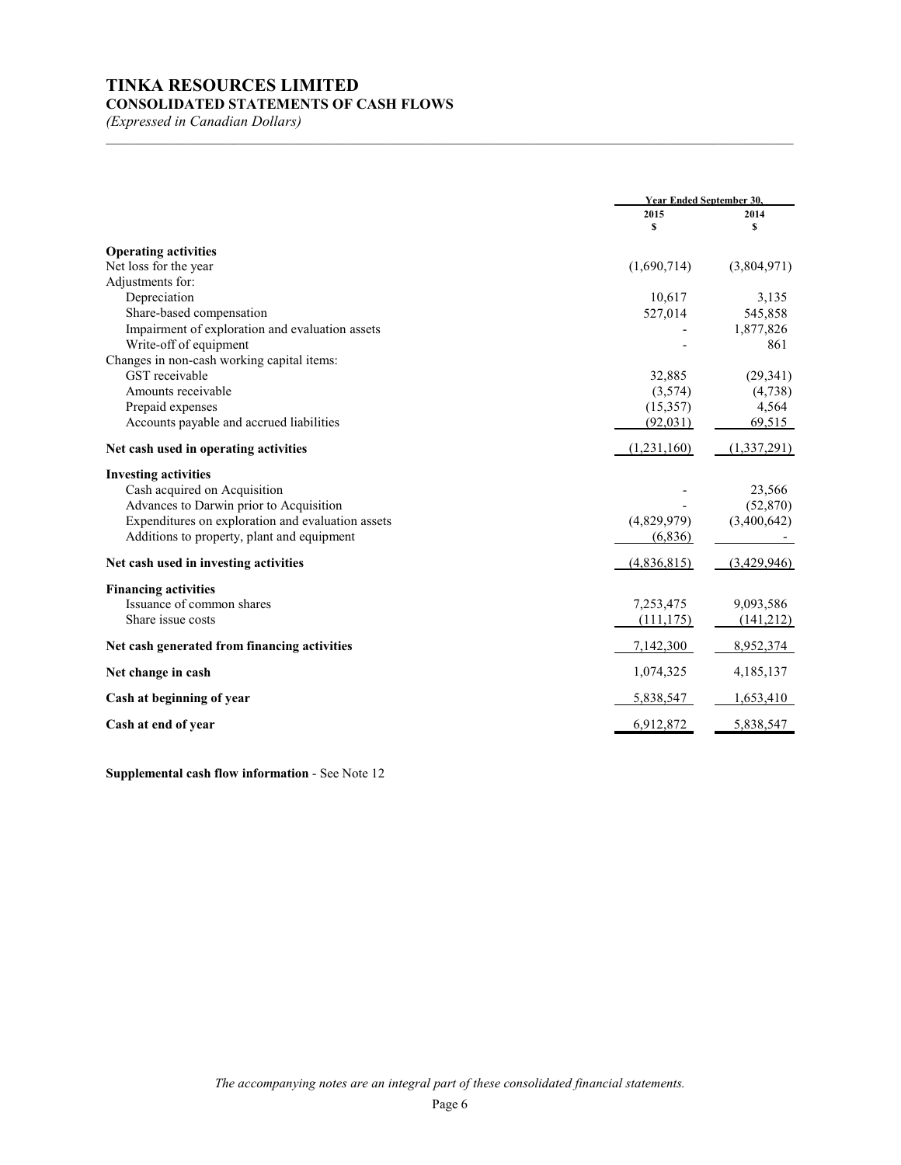# **TINKA RESOURCES LIMITED**

## **CONSOLIDATED STATEMENTS OF CASH FLOWS**

*(Expressed in Canadian Dollars)*

|                                                   | <b>Year Ended September 30.</b> |             |  |
|---------------------------------------------------|---------------------------------|-------------|--|
|                                                   | 2015<br>\$                      | 2014<br>S   |  |
| <b>Operating activities</b>                       |                                 |             |  |
| Net loss for the year                             | (1,690,714)                     | (3,804,971) |  |
| Adjustments for:                                  |                                 |             |  |
| Depreciation                                      | 10,617                          | 3,135       |  |
| Share-based compensation                          | 527,014                         | 545,858     |  |
| Impairment of exploration and evaluation assets   |                                 | 1,877,826   |  |
| Write-off of equipment                            |                                 | 861         |  |
| Changes in non-cash working capital items:        |                                 |             |  |
| GST receivable                                    | 32,885                          | (29, 341)   |  |
| Amounts receivable                                | (3,574)                         | (4,738)     |  |
| Prepaid expenses                                  | (15,357)                        | 4,564       |  |
| Accounts payable and accrued liabilities          | (92, 031)                       | 69,515      |  |
| Net cash used in operating activities             | (1,231,160)                     | (1,337,291) |  |
| <b>Investing activities</b>                       |                                 |             |  |
| Cash acquired on Acquisition                      |                                 | 23,566      |  |
| Advances to Darwin prior to Acquisition           |                                 | (52, 870)   |  |
| Expenditures on exploration and evaluation assets | (4,829,979)                     | (3,400,642) |  |
| Additions to property, plant and equipment        | (6,836)                         |             |  |
| Net cash used in investing activities             | (4,836,815)                     | (3,429,946) |  |
| <b>Financing activities</b>                       |                                 |             |  |
| Issuance of common shares                         | 7,253,475                       | 9,093,586   |  |
| Share issue costs                                 | (111, 175)                      | (141,212)   |  |
| Net cash generated from financing activities      | 7,142,300                       | 8,952,374   |  |
| Net change in cash                                | 1,074,325                       | 4,185,137   |  |
| Cash at beginning of year                         | 5,838,547                       | 1,653,410   |  |
| Cash at end of year                               | 6,912,872                       | 5,838,547   |  |

\_\_\_\_\_\_\_\_\_\_\_\_\_\_\_\_\_\_\_\_\_\_\_\_\_\_\_\_\_\_\_\_\_\_\_\_\_\_\_\_\_\_\_\_\_\_\_\_\_\_\_\_\_\_\_\_\_\_\_\_\_\_\_\_\_\_\_\_\_\_\_\_\_\_\_\_\_\_\_\_\_\_\_\_\_\_\_\_\_\_\_\_\_\_\_\_\_\_\_\_\_\_\_

**Supplemental cash flow information** - See Note 12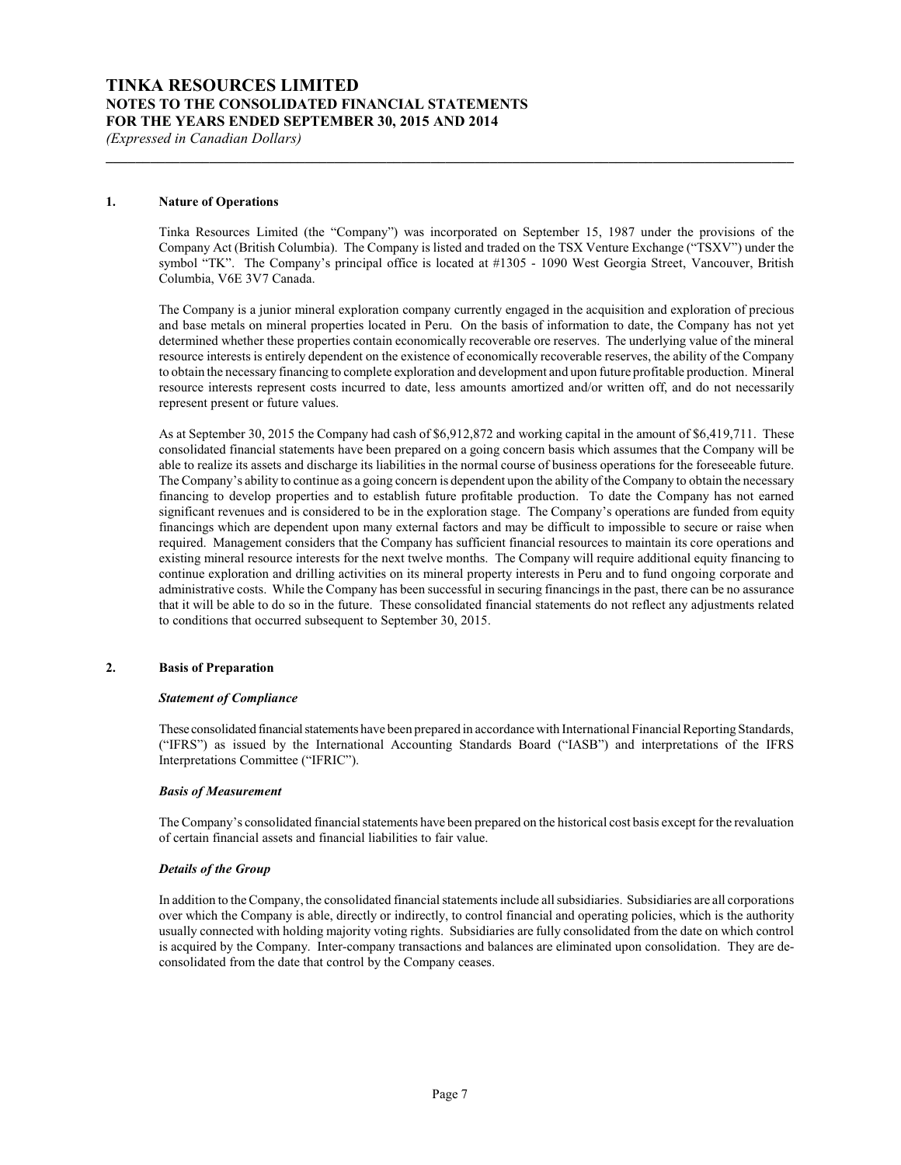## **1. Nature of Operations**

Tinka Resources Limited (the "Company") was incorporated on September 15, 1987 under the provisions of the Company Act (British Columbia). The Company is listed and traded on the TSX Venture Exchange ("TSXV") under the symbol "TK". The Company's principal office is located at #1305 - 1090 West Georgia Street, Vancouver, British Columbia, V6E 3V7 Canada.

**\_\_\_\_\_\_\_\_\_\_\_\_\_\_\_\_\_\_\_\_\_\_\_\_\_\_\_\_\_\_\_\_\_\_\_\_\_\_\_\_\_\_\_\_\_\_\_\_\_\_\_\_\_\_\_\_\_\_\_\_\_\_\_\_\_\_\_\_\_\_\_\_\_\_\_\_\_\_\_\_\_\_\_\_\_\_\_\_\_\_\_\_\_**

The Company is a junior mineral exploration company currently engaged in the acquisition and exploration of precious and base metals on mineral properties located in Peru. On the basis of information to date, the Company has not yet determined whether these properties contain economically recoverable ore reserves. The underlying value of the mineral resource interests is entirely dependent on the existence of economically recoverable reserves, the ability of the Company to obtain the necessary financing to complete exploration and development and upon future profitable production. Mineral resource interests represent costs incurred to date, less amounts amortized and/or written off, and do not necessarily represent present or future values.

As at September 30, 2015 the Company had cash of \$6,912,872 and working capital in the amount of \$6,419,711. These consolidated financial statements have been prepared on a going concern basis which assumes that the Company will be able to realize its assets and discharge its liabilities in the normal course of business operations for the foreseeable future. The Company's ability to continue as a going concern is dependent upon the ability of the Company to obtain the necessary financing to develop properties and to establish future profitable production. To date the Company has not earned significant revenues and is considered to be in the exploration stage. The Company's operations are funded from equity financings which are dependent upon many external factors and may be difficult to impossible to secure or raise when required. Management considers that the Company has sufficient financial resources to maintain its core operations and existing mineral resource interests for the next twelve months. The Company will require additional equity financing to continue exploration and drilling activities on its mineral property interests in Peru and to fund ongoing corporate and administrative costs. While the Company has been successful in securing financings in the past, there can be no assurance that it will be able to do so in the future. These consolidated financial statements do not reflect any adjustments related to conditions that occurred subsequent to September 30, 2015.

## **2. Basis of Preparation**

## *Statement of Compliance*

These consolidated financial statements have been prepared in accordance with International Financial Reporting Standards, ("IFRS") as issued by the International Accounting Standards Board ("IASB") and interpretations of the IFRS Interpretations Committee ("IFRIC").

## *Basis of Measurement*

The Company's consolidated financial statements have been prepared on the historical cost basis except for the revaluation of certain financial assets and financial liabilities to fair value.

## *Details of the Group*

In addition to the Company, the consolidated financial statements include all subsidiaries. Subsidiaries are all corporations over which the Company is able, directly or indirectly, to control financial and operating policies, which is the authority usually connected with holding majority voting rights. Subsidiaries are fully consolidated from the date on which control is acquired by the Company. Inter-company transactions and balances are eliminated upon consolidation. They are deconsolidated from the date that control by the Company ceases.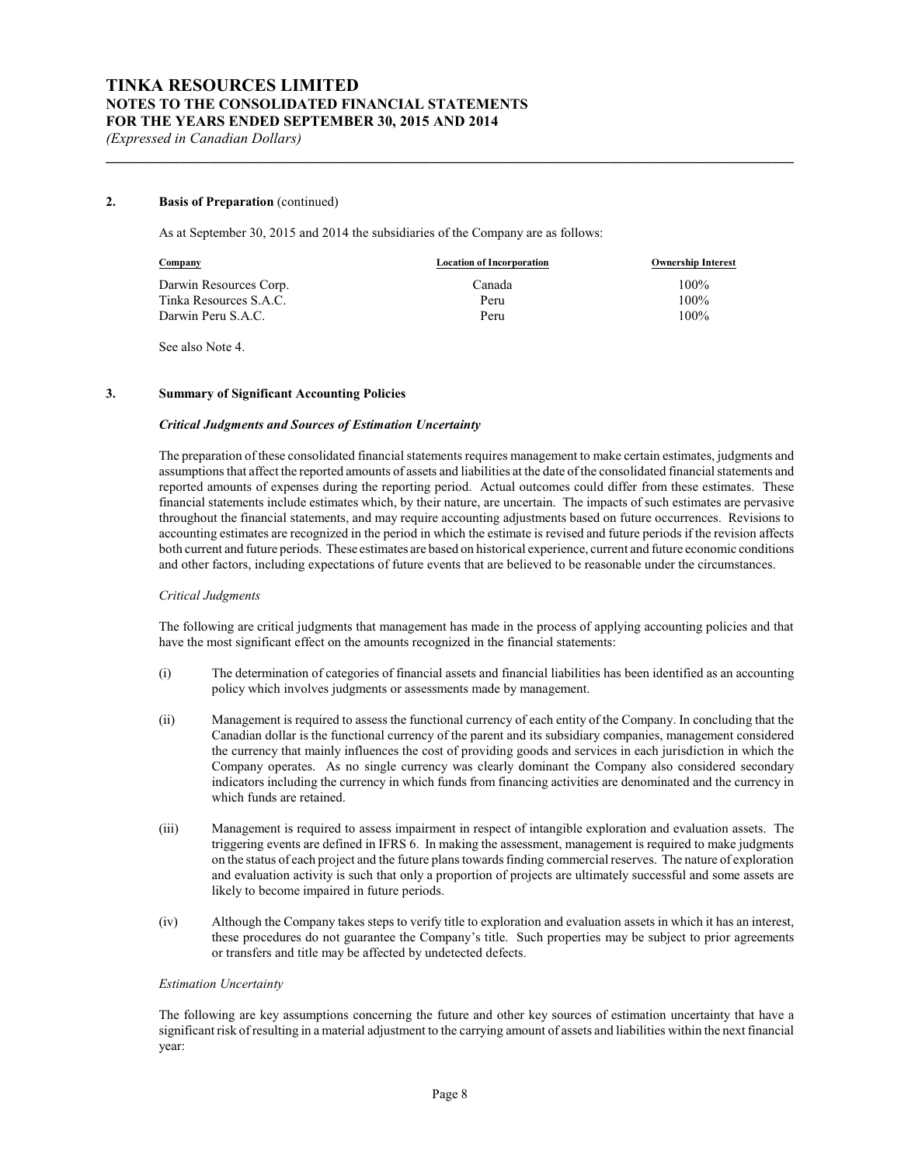## **2. Basis of Preparation** (continued)

As at September 30, 2015 and 2014 the subsidiaries of the Company are as follows:

| Company                | <b>Location of Incorporation</b> | <b>Ownership Interest</b> |
|------------------------|----------------------------------|---------------------------|
| Darwin Resources Corp. | Canada                           | $100\%$                   |
| Tinka Resources S.A.C. | Peru                             | $100\%$                   |
| Darwin Peru S.A.C.     | Peru                             | $100\%$                   |

**\_\_\_\_\_\_\_\_\_\_\_\_\_\_\_\_\_\_\_\_\_\_\_\_\_\_\_\_\_\_\_\_\_\_\_\_\_\_\_\_\_\_\_\_\_\_\_\_\_\_\_\_\_\_\_\_\_\_\_\_\_\_\_\_\_\_\_\_\_\_\_\_\_\_\_\_\_\_\_\_\_\_\_\_\_\_\_\_\_\_\_\_\_**

See also Note 4.

## **3. Summary of Significant Accounting Policies**

## *Critical Judgments and Sources of Estimation Uncertainty*

The preparation of these consolidated financial statements requires management to make certain estimates, judgments and assumptions that affect the reported amounts of assets and liabilities at the date of the consolidated financial statements and reported amounts of expenses during the reporting period. Actual outcomes could differ from these estimates. These financial statements include estimates which, by their nature, are uncertain. The impacts of such estimates are pervasive throughout the financial statements, and may require accounting adjustments based on future occurrences. Revisions to accounting estimates are recognized in the period in which the estimate is revised and future periods if the revision affects both current and future periods. These estimates are based on historical experience, current and future economic conditions and other factors, including expectations of future events that are believed to be reasonable under the circumstances.

## *Critical Judgments*

The following are critical judgments that management has made in the process of applying accounting policies and that have the most significant effect on the amounts recognized in the financial statements:

- (i) The determination of categories of financial assets and financial liabilities has been identified as an accounting policy which involves judgments or assessments made by management.
- (ii) Management is required to assess the functional currency of each entity of the Company. In concluding that the Canadian dollar is the functional currency of the parent and its subsidiary companies, management considered the currency that mainly influences the cost of providing goods and services in each jurisdiction in which the Company operates. As no single currency was clearly dominant the Company also considered secondary indicators including the currency in which funds from financing activities are denominated and the currency in which funds are retained.
- (iii) Management is required to assess impairment in respect of intangible exploration and evaluation assets. The triggering events are defined in IFRS 6. In making the assessment, management is required to make judgments on the status of each project and the future plans towards finding commercial reserves. The nature of exploration and evaluation activity is such that only a proportion of projects are ultimately successful and some assets are likely to become impaired in future periods.
- (iv) Although the Company takes steps to verify title to exploration and evaluation assets in which it has an interest, these procedures do not guarantee the Company's title. Such properties may be subject to prior agreements or transfers and title may be affected by undetected defects.

## *Estimation Uncertainty*

The following are key assumptions concerning the future and other key sources of estimation uncertainty that have a significant risk of resulting in a material adjustment to the carrying amount of assets and liabilities within the next financial year: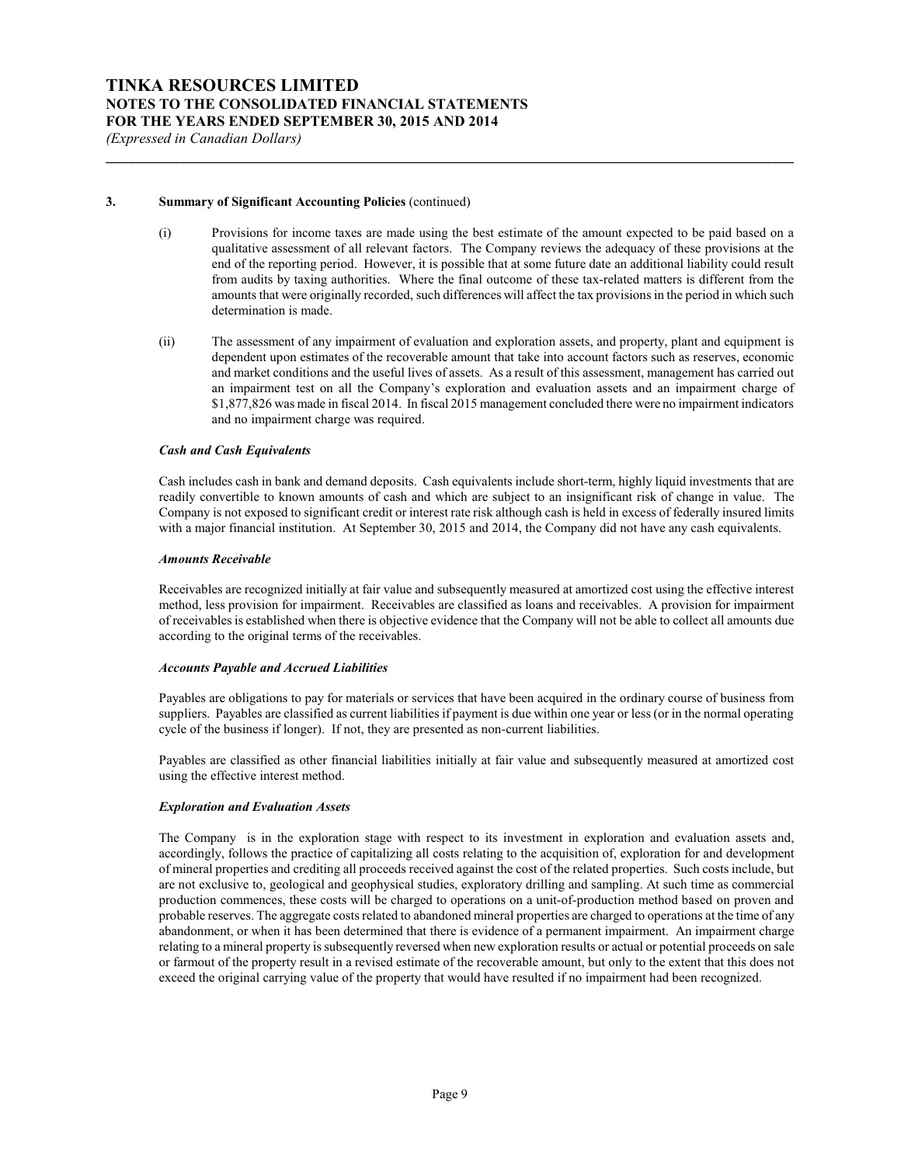## **3. Summary of Significant Accounting Policies** (continued)

(i) Provisions for income taxes are made using the best estimate of the amount expected to be paid based on a qualitative assessment of all relevant factors. The Company reviews the adequacy of these provisions at the end of the reporting period. However, it is possible that at some future date an additional liability could result from audits by taxing authorities. Where the final outcome of these tax-related matters is different from the amounts that were originally recorded, such differences will affect the tax provisions in the period in which such determination is made.

**\_\_\_\_\_\_\_\_\_\_\_\_\_\_\_\_\_\_\_\_\_\_\_\_\_\_\_\_\_\_\_\_\_\_\_\_\_\_\_\_\_\_\_\_\_\_\_\_\_\_\_\_\_\_\_\_\_\_\_\_\_\_\_\_\_\_\_\_\_\_\_\_\_\_\_\_\_\_\_\_\_\_\_\_\_\_\_\_\_\_\_\_\_**

(ii) The assessment of any impairment of evaluation and exploration assets, and property, plant and equipment is dependent upon estimates of the recoverable amount that take into account factors such as reserves, economic and market conditions and the useful lives of assets. As a result of this assessment, management has carried out an impairment test on all the Company's exploration and evaluation assets and an impairment charge of \$1,877,826 was made in fiscal 2014. In fiscal 2015 management concluded there were no impairment indicators and no impairment charge was required.

## *Cash and Cash Equivalents*

Cash includes cash in bank and demand deposits. Cash equivalents include short-term, highly liquid investments that are readily convertible to known amounts of cash and which are subject to an insignificant risk of change in value. The Company is not exposed to significant credit or interest rate risk although cash is held in excess of federally insured limits with a major financial institution. At September 30, 2015 and 2014, the Company did not have any cash equivalents.

## *Amounts Receivable*

Receivables are recognized initially at fair value and subsequently measured at amortized cost using the effective interest method, less provision for impairment. Receivables are classified as loans and receivables. A provision for impairment of receivables is established when there is objective evidence that the Company will not be able to collect all amounts due according to the original terms of the receivables.

## *Accounts Payable and Accrued Liabilities*

Payables are obligations to pay for materials or services that have been acquired in the ordinary course of business from suppliers. Payables are classified as current liabilities if payment is due within one year or less (or in the normal operating cycle of the business if longer). If not, they are presented as non-current liabilities.

Payables are classified as other financial liabilities initially at fair value and subsequently measured at amortized cost using the effective interest method.

## *Exploration and Evaluation Assets*

The Company is in the exploration stage with respect to its investment in exploration and evaluation assets and, accordingly, follows the practice of capitalizing all costs relating to the acquisition of, exploration for and development of mineral properties and crediting all proceeds received against the cost of the related properties. Such costs include, but are not exclusive to, geological and geophysical studies, exploratory drilling and sampling. At such time as commercial production commences, these costs will be charged to operations on a unit-of-production method based on proven and probable reserves. The aggregate costs related to abandoned mineral properties are charged to operations at the time of any abandonment, or when it has been determined that there is evidence of a permanent impairment. An impairment charge relating to a mineral property is subsequently reversed when new exploration results or actual or potential proceeds on sale or farmout of the property result in a revised estimate of the recoverable amount, but only to the extent that this does not exceed the original carrying value of the property that would have resulted if no impairment had been recognized.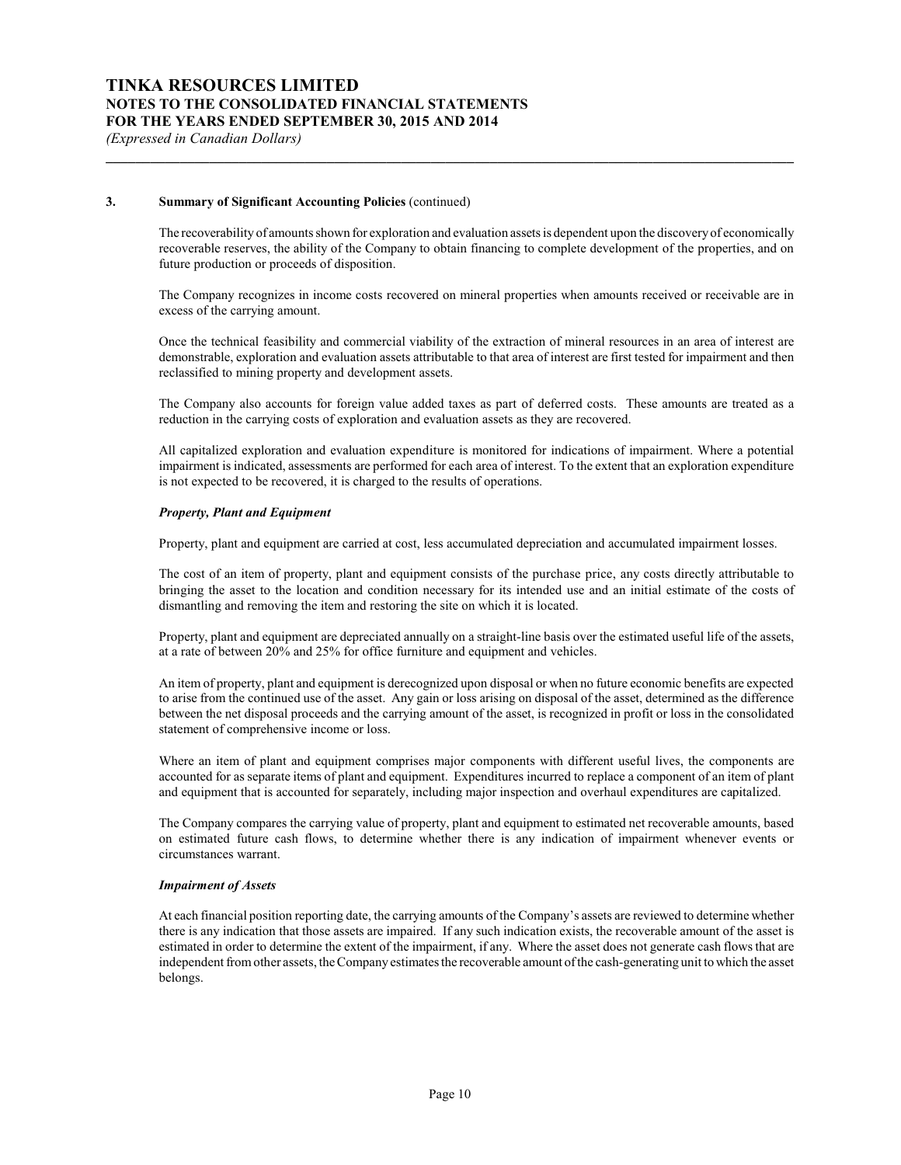## **3. Summary of Significant Accounting Policies** (continued)

The recoverability of amounts shown for exploration and evaluation assets is dependent upon the discoveryof economically recoverable reserves, the ability of the Company to obtain financing to complete development of the properties, and on future production or proceeds of disposition.

**\_\_\_\_\_\_\_\_\_\_\_\_\_\_\_\_\_\_\_\_\_\_\_\_\_\_\_\_\_\_\_\_\_\_\_\_\_\_\_\_\_\_\_\_\_\_\_\_\_\_\_\_\_\_\_\_\_\_\_\_\_\_\_\_\_\_\_\_\_\_\_\_\_\_\_\_\_\_\_\_\_\_\_\_\_\_\_\_\_\_\_\_\_**

The Company recognizes in income costs recovered on mineral properties when amounts received or receivable are in excess of the carrying amount.

Once the technical feasibility and commercial viability of the extraction of mineral resources in an area of interest are demonstrable, exploration and evaluation assets attributable to that area of interest are first tested for impairment and then reclassified to mining property and development assets.

The Company also accounts for foreign value added taxes as part of deferred costs. These amounts are treated as a reduction in the carrying costs of exploration and evaluation assets as they are recovered.

All capitalized exploration and evaluation expenditure is monitored for indications of impairment. Where a potential impairment is indicated, assessments are performed for each area of interest. To the extent that an exploration expenditure is not expected to be recovered, it is charged to the results of operations.

## *Property, Plant and Equipment*

Property, plant and equipment are carried at cost, less accumulated depreciation and accumulated impairment losses.

The cost of an item of property, plant and equipment consists of the purchase price, any costs directly attributable to bringing the asset to the location and condition necessary for its intended use and an initial estimate of the costs of dismantling and removing the item and restoring the site on which it is located.

Property, plant and equipment are depreciated annually on a straight-line basis over the estimated useful life of the assets, at a rate of between 20% and 25% for office furniture and equipment and vehicles.

An item of property, plant and equipment is derecognized upon disposal or when no future economic benefits are expected to arise from the continued use of the asset. Any gain or loss arising on disposal of the asset, determined as the difference between the net disposal proceeds and the carrying amount of the asset, is recognized in profit or loss in the consolidated statement of comprehensive income or loss.

Where an item of plant and equipment comprises major components with different useful lives, the components are accounted for as separate items of plant and equipment. Expenditures incurred to replace a component of an item of plant and equipment that is accounted for separately, including major inspection and overhaul expenditures are capitalized.

The Company compares the carrying value of property, plant and equipment to estimated net recoverable amounts, based on estimated future cash flows, to determine whether there is any indication of impairment whenever events or circumstances warrant.

## *Impairment of Assets*

At each financial position reporting date, the carrying amounts of the Company's assets are reviewed to determine whether there is any indication that those assets are impaired. If any such indication exists, the recoverable amount of the asset is estimated in order to determine the extent of the impairment, if any. Where the asset does not generate cash flows that are independent from other assets, the Company estimates the recoverable amount of the cash-generating unit to which the asset belongs.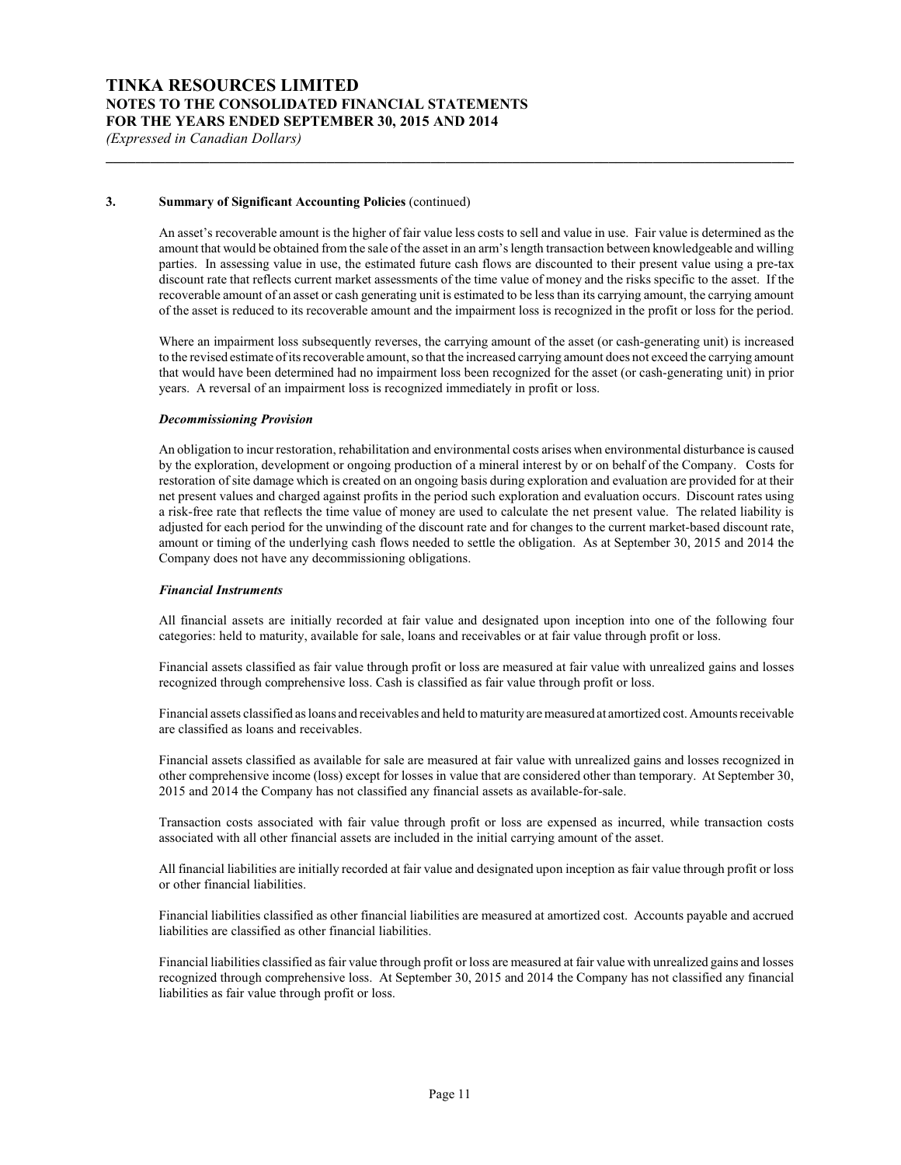## **3. Summary of Significant Accounting Policies** (continued)

An asset's recoverable amount is the higher of fair value less costs to sell and value in use. Fair value is determined as the amount that would be obtained from the sale of the asset in an arm's length transaction between knowledgeable and willing parties. In assessing value in use, the estimated future cash flows are discounted to their present value using a pre-tax discount rate that reflects current market assessments of the time value of money and the risks specific to the asset. If the recoverable amount of an asset or cash generating unit is estimated to be less than its carrying amount, the carrying amount of the asset is reduced to its recoverable amount and the impairment loss is recognized in the profit or loss for the period.

**\_\_\_\_\_\_\_\_\_\_\_\_\_\_\_\_\_\_\_\_\_\_\_\_\_\_\_\_\_\_\_\_\_\_\_\_\_\_\_\_\_\_\_\_\_\_\_\_\_\_\_\_\_\_\_\_\_\_\_\_\_\_\_\_\_\_\_\_\_\_\_\_\_\_\_\_\_\_\_\_\_\_\_\_\_\_\_\_\_\_\_\_\_**

Where an impairment loss subsequently reverses, the carrying amount of the asset (or cash-generating unit) is increased to the revised estimate of its recoverable amount, so that the increased carrying amount does not exceed the carrying amount that would have been determined had no impairment loss been recognized for the asset (or cash-generating unit) in prior years. A reversal of an impairment loss is recognized immediately in profit or loss.

## *Decommissioning Provision*

An obligation to incur restoration, rehabilitation and environmental costs arises when environmental disturbance is caused by the exploration, development or ongoing production of a mineral interest by or on behalf of the Company. Costs for restoration of site damage which is created on an ongoing basis during exploration and evaluation are provided for at their net present values and charged against profits in the period such exploration and evaluation occurs. Discount rates using a risk-free rate that reflects the time value of money are used to calculate the net present value. The related liability is adjusted for each period for the unwinding of the discount rate and for changes to the current market-based discount rate, amount or timing of the underlying cash flows needed to settle the obligation. As at September 30, 2015 and 2014 the Company does not have any decommissioning obligations.

## *Financial Instruments*

All financial assets are initially recorded at fair value and designated upon inception into one of the following four categories: held to maturity, available for sale, loans and receivables or at fair value through profit or loss.

Financial assets classified as fair value through profit or loss are measured at fair value with unrealized gains and losses recognized through comprehensive loss. Cash is classified as fair value through profit or loss.

Financial assets classified as loans and receivables and held to maturity are measured at amortized cost. Amounts receivable are classified as loans and receivables.

Financial assets classified as available for sale are measured at fair value with unrealized gains and losses recognized in other comprehensive income (loss) except for losses in value that are considered other than temporary. At September 30, 2015 and 2014 the Company has not classified any financial assets as available-for-sale.

Transaction costs associated with fair value through profit or loss are expensed as incurred, while transaction costs associated with all other financial assets are included in the initial carrying amount of the asset.

All financial liabilities are initially recorded at fair value and designated upon inception as fair value through profit or loss or other financial liabilities.

Financial liabilities classified as other financial liabilities are measured at amortized cost. Accounts payable and accrued liabilities are classified as other financial liabilities.

Financial liabilities classified as fair value through profit or loss are measured at fair value with unrealized gains and losses recognized through comprehensive loss. At September 30, 2015 and 2014 the Company has not classified any financial liabilities as fair value through profit or loss.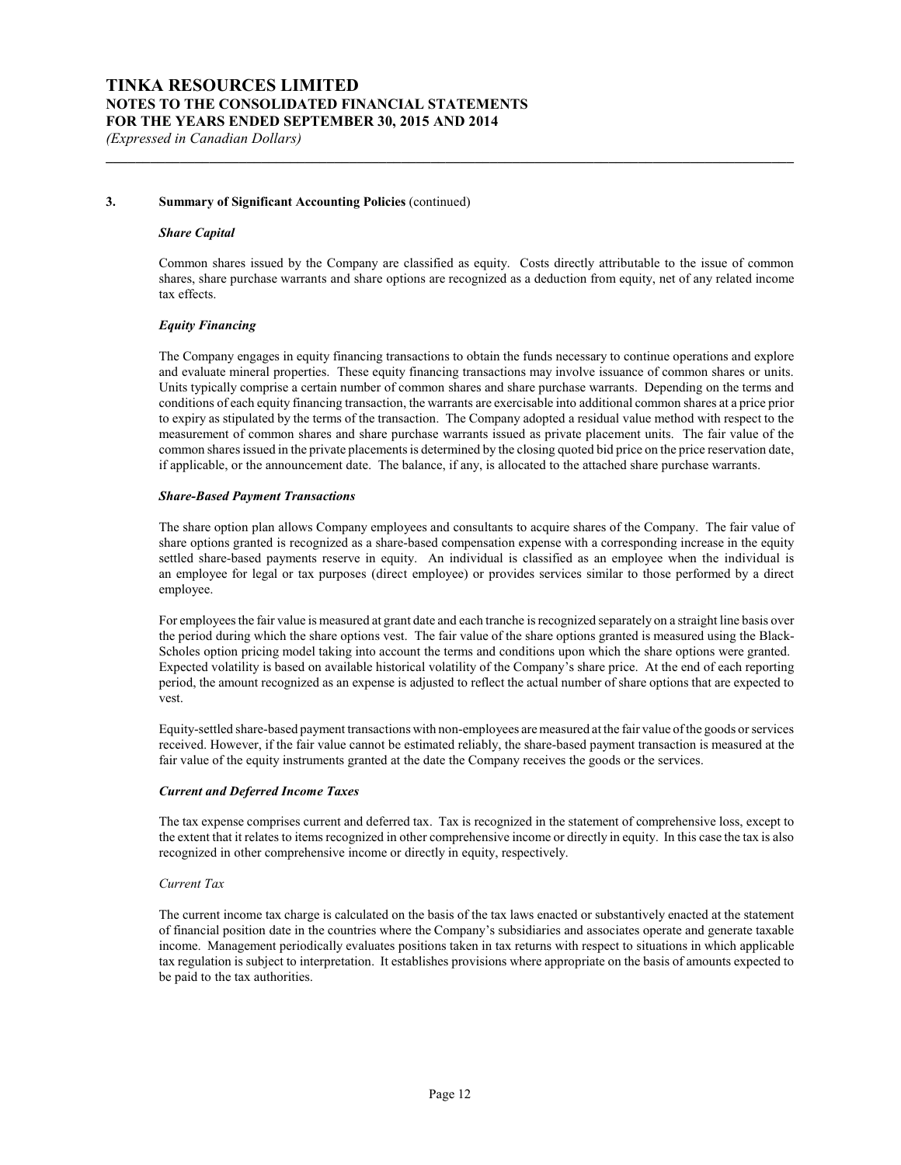## **3. Summary of Significant Accounting Policies** (continued)

## *Share Capital*

Common shares issued by the Company are classified as equity. Costs directly attributable to the issue of common shares, share purchase warrants and share options are recognized as a deduction from equity, net of any related income tax effects.

**\_\_\_\_\_\_\_\_\_\_\_\_\_\_\_\_\_\_\_\_\_\_\_\_\_\_\_\_\_\_\_\_\_\_\_\_\_\_\_\_\_\_\_\_\_\_\_\_\_\_\_\_\_\_\_\_\_\_\_\_\_\_\_\_\_\_\_\_\_\_\_\_\_\_\_\_\_\_\_\_\_\_\_\_\_\_\_\_\_\_\_\_\_**

#### *Equity Financing*

The Company engages in equity financing transactions to obtain the funds necessary to continue operations and explore and evaluate mineral properties. These equity financing transactions may involve issuance of common shares or units. Units typically comprise a certain number of common shares and share purchase warrants. Depending on the terms and conditions of each equity financing transaction, the warrants are exercisable into additional common shares at a price prior to expiry as stipulated by the terms of the transaction. The Company adopted a residual value method with respect to the measurement of common shares and share purchase warrants issued as private placement units. The fair value of the common shares issued in the private placements is determined by the closing quoted bid price on the price reservation date, if applicable, or the announcement date. The balance, if any, is allocated to the attached share purchase warrants.

#### *Share-Based Payment Transactions*

The share option plan allows Company employees and consultants to acquire shares of the Company. The fair value of share options granted is recognized as a share-based compensation expense with a corresponding increase in the equity settled share-based payments reserve in equity. An individual is classified as an employee when the individual is an employee for legal or tax purposes (direct employee) or provides services similar to those performed by a direct employee.

For employees the fair value is measured at grant date and each tranche is recognized separately on a straight line basis over the period during which the share options vest. The fair value of the share options granted is measured using the Black-Scholes option pricing model taking into account the terms and conditions upon which the share options were granted. Expected volatility is based on available historical volatility of the Company's share price. At the end of each reporting period, the amount recognized as an expense is adjusted to reflect the actual number of share options that are expected to vest.

Equity-settled share-based payment transactions with non-employees are measured at the fair value of the goods or services received. However, if the fair value cannot be estimated reliably, the share-based payment transaction is measured at the fair value of the equity instruments granted at the date the Company receives the goods or the services.

#### *Current and Deferred Income Taxes*

The tax expense comprises current and deferred tax. Tax is recognized in the statement of comprehensive loss, except to the extent that it relates to items recognized in other comprehensive income or directly in equity. In this case the tax is also recognized in other comprehensive income or directly in equity, respectively.

#### *Current Tax*

The current income tax charge is calculated on the basis of the tax laws enacted or substantively enacted at the statement of financial position date in the countries where the Company's subsidiaries and associates operate and generate taxable income. Management periodically evaluates positions taken in tax returns with respect to situations in which applicable tax regulation is subject to interpretation. It establishes provisions where appropriate on the basis of amounts expected to be paid to the tax authorities.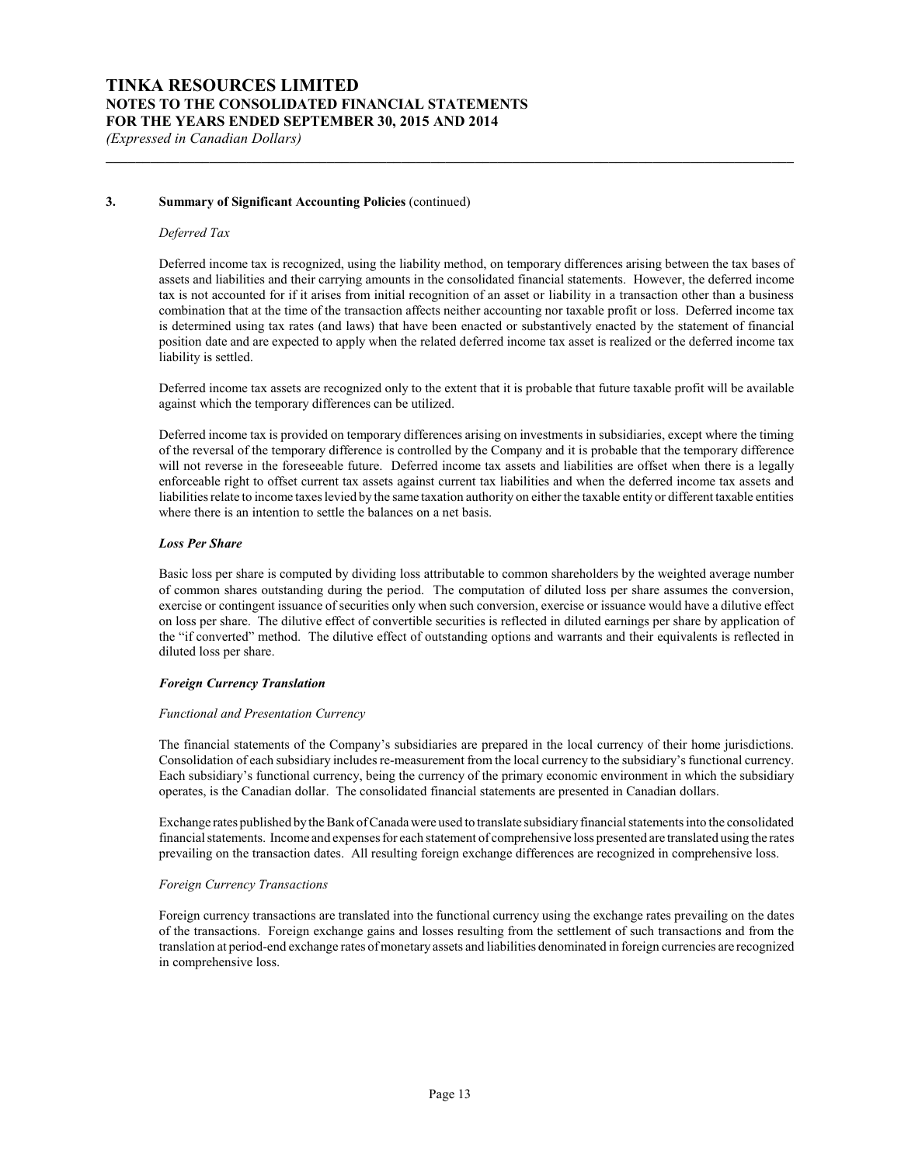## **3. Summary of Significant Accounting Policies** (continued)

## *Deferred Tax*

Deferred income tax is recognized, using the liability method, on temporary differences arising between the tax bases of assets and liabilities and their carrying amounts in the consolidated financial statements. However, the deferred income tax is not accounted for if it arises from initial recognition of an asset or liability in a transaction other than a business combination that at the time of the transaction affects neither accounting nor taxable profit or loss. Deferred income tax is determined using tax rates (and laws) that have been enacted or substantively enacted by the statement of financial position date and are expected to apply when the related deferred income tax asset is realized or the deferred income tax liability is settled.

**\_\_\_\_\_\_\_\_\_\_\_\_\_\_\_\_\_\_\_\_\_\_\_\_\_\_\_\_\_\_\_\_\_\_\_\_\_\_\_\_\_\_\_\_\_\_\_\_\_\_\_\_\_\_\_\_\_\_\_\_\_\_\_\_\_\_\_\_\_\_\_\_\_\_\_\_\_\_\_\_\_\_\_\_\_\_\_\_\_\_\_\_\_**

Deferred income tax assets are recognized only to the extent that it is probable that future taxable profit will be available against which the temporary differences can be utilized.

Deferred income tax is provided on temporary differences arising on investments in subsidiaries, except where the timing of the reversal of the temporary difference is controlled by the Company and it is probable that the temporary difference will not reverse in the foreseeable future. Deferred income tax assets and liabilities are offset when there is a legally enforceable right to offset current tax assets against current tax liabilities and when the deferred income tax assets and liabilities relate to income taxes levied by the same taxation authority on either the taxable entity or different taxable entities where there is an intention to settle the balances on a net basis.

## *Loss Per Share*

Basic loss per share is computed by dividing loss attributable to common shareholders by the weighted average number of common shares outstanding during the period. The computation of diluted loss per share assumes the conversion, exercise or contingent issuance of securities only when such conversion, exercise or issuance would have a dilutive effect on loss per share. The dilutive effect of convertible securities is reflected in diluted earnings per share by application of the "if converted" method. The dilutive effect of outstanding options and warrants and their equivalents is reflected in diluted loss per share.

#### *Foreign Currency Translation*

#### *Functional and Presentation Currency*

The financial statements of the Company's subsidiaries are prepared in the local currency of their home jurisdictions. Consolidation of each subsidiary includes re-measurement from the local currency to the subsidiary's functional currency. Each subsidiary's functional currency, being the currency of the primary economic environment in which the subsidiary operates, is the Canadian dollar. The consolidated financial statements are presented in Canadian dollars.

Exchange rates published by the Bank of Canada were used to translate subsidiaryfinancial statements into the consolidated financial statements. Income and expenses for each statement of comprehensive loss presented are translated using the rates prevailing on the transaction dates. All resulting foreign exchange differences are recognized in comprehensive loss.

#### *Foreign Currency Transactions*

Foreign currency transactions are translated into the functional currency using the exchange rates prevailing on the dates of the transactions. Foreign exchange gains and losses resulting from the settlement of such transactions and from the translation at period-end exchange rates of monetary assets and liabilities denominated in foreign currencies are recognized in comprehensive loss.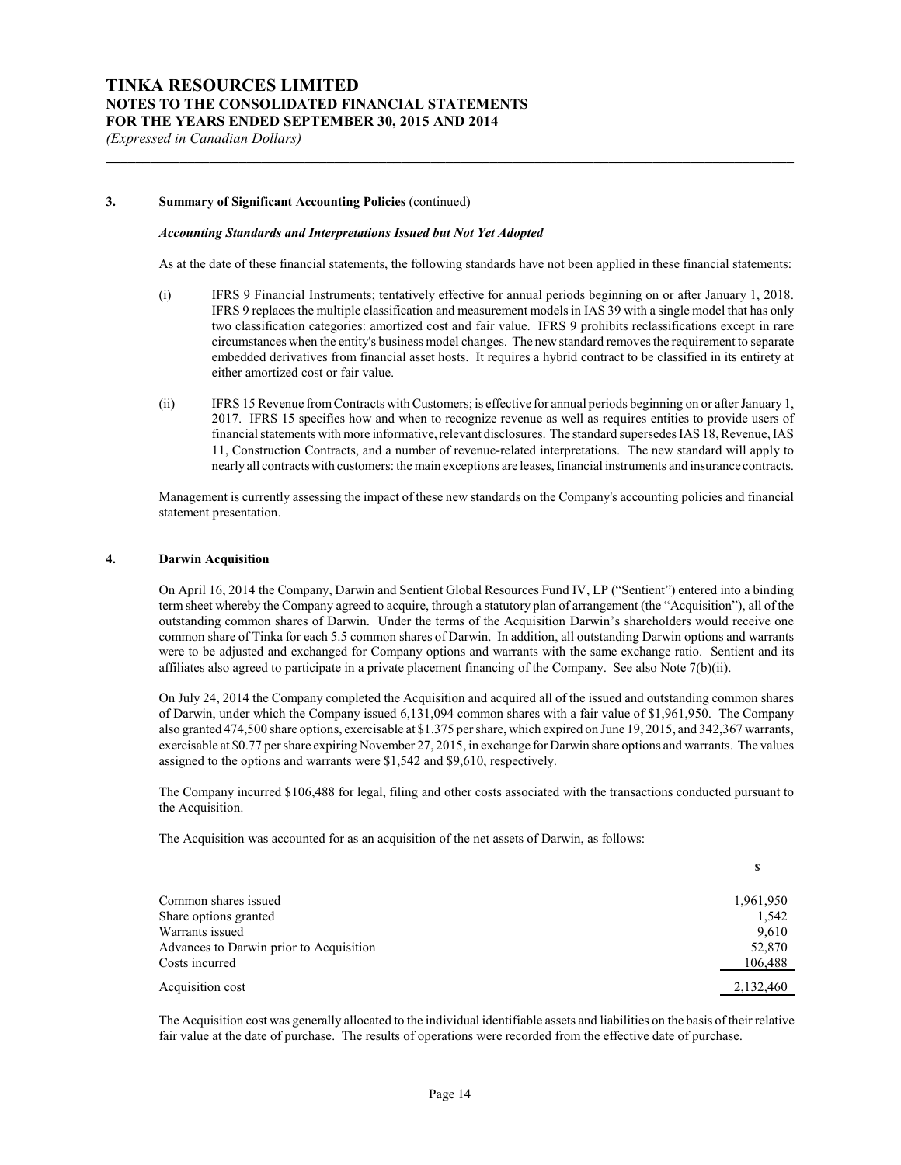## **3. Summary of Significant Accounting Policies** (continued)

## *Accounting Standards and Interpretations Issued but Not Yet Adopted*

As at the date of these financial statements, the following standards have not been applied in these financial statements:

**\_\_\_\_\_\_\_\_\_\_\_\_\_\_\_\_\_\_\_\_\_\_\_\_\_\_\_\_\_\_\_\_\_\_\_\_\_\_\_\_\_\_\_\_\_\_\_\_\_\_\_\_\_\_\_\_\_\_\_\_\_\_\_\_\_\_\_\_\_\_\_\_\_\_\_\_\_\_\_\_\_\_\_\_\_\_\_\_\_\_\_\_\_**

- (i) IFRS 9 Financial Instruments; tentatively effective for annual periods beginning on or after January 1, 2018. IFRS 9 replaces the multiple classification and measurement models in IAS 39 with a single model that has only two classification categories: amortized cost and fair value. IFRS 9 prohibits reclassifications except in rare circumstances when the entity's business model changes. The new standard removes the requirement to separate embedded derivatives from financial asset hosts. It requires a hybrid contract to be classified in its entirety at either amortized cost or fair value.
- (ii) IFRS 15 Revenue from Contracts with Customers; is effective for annual periods beginning on or after January 1, 2017. IFRS 15 specifies how and when to recognize revenue as well as requires entities to provide users of financial statements with more informative, relevant disclosures. The standard supersedes IAS 18, Revenue, IAS 11, Construction Contracts, and a number of revenue-related interpretations. The new standard will apply to nearly all contracts with customers: the main exceptions are leases, financial instruments and insurance contracts.

Management is currently assessing the impact of these new standards on the Company's accounting policies and financial statement presentation.

## **4. Darwin Acquisition**

On April 16, 2014 the Company, Darwin and Sentient Global Resources Fund IV, LP ("Sentient") entered into a binding term sheet whereby the Company agreed to acquire, through a statutory plan of arrangement (the "Acquisition"), all of the outstanding common shares of Darwin. Under the terms of the Acquisition Darwin's shareholders would receive one common share of Tinka for each 5.5 common shares of Darwin. In addition, all outstanding Darwin options and warrants were to be adjusted and exchanged for Company options and warrants with the same exchange ratio. Sentient and its affiliates also agreed to participate in a private placement financing of the Company. See also Note 7(b)(ii).

On July 24, 2014 the Company completed the Acquisition and acquired all of the issued and outstanding common shares of Darwin, under which the Company issued 6,131,094 common shares with a fair value of \$1,961,950. The Company also granted 474,500 share options, exercisable at \$1.375 per share, which expired on June 19, 2015, and 342,367 warrants, exercisable at \$0.77 per share expiring November 27, 2015, in exchange for Darwin share options and warrants. The values assigned to the options and warrants were \$1,542 and \$9,610, respectively.

The Company incurred \$106,488 for legal, filing and other costs associated with the transactions conducted pursuant to the Acquisition.

The Acquisition was accounted for as an acquisition of the net assets of Darwin, as follows:

| Common shares issued                    | 1,961,950 |
|-----------------------------------------|-----------|
| Share options granted                   | 1,542     |
| Warrants issued                         | 9,610     |
| Advances to Darwin prior to Acquisition | 52,870    |
| Costs incurred                          | 106,488   |
| Acquisition cost                        | 2,132,460 |

The Acquisition cost was generally allocated to the individual identifiable assets and liabilities on the basis of their relative fair value at the date of purchase. The results of operations were recorded from the effective date of purchase.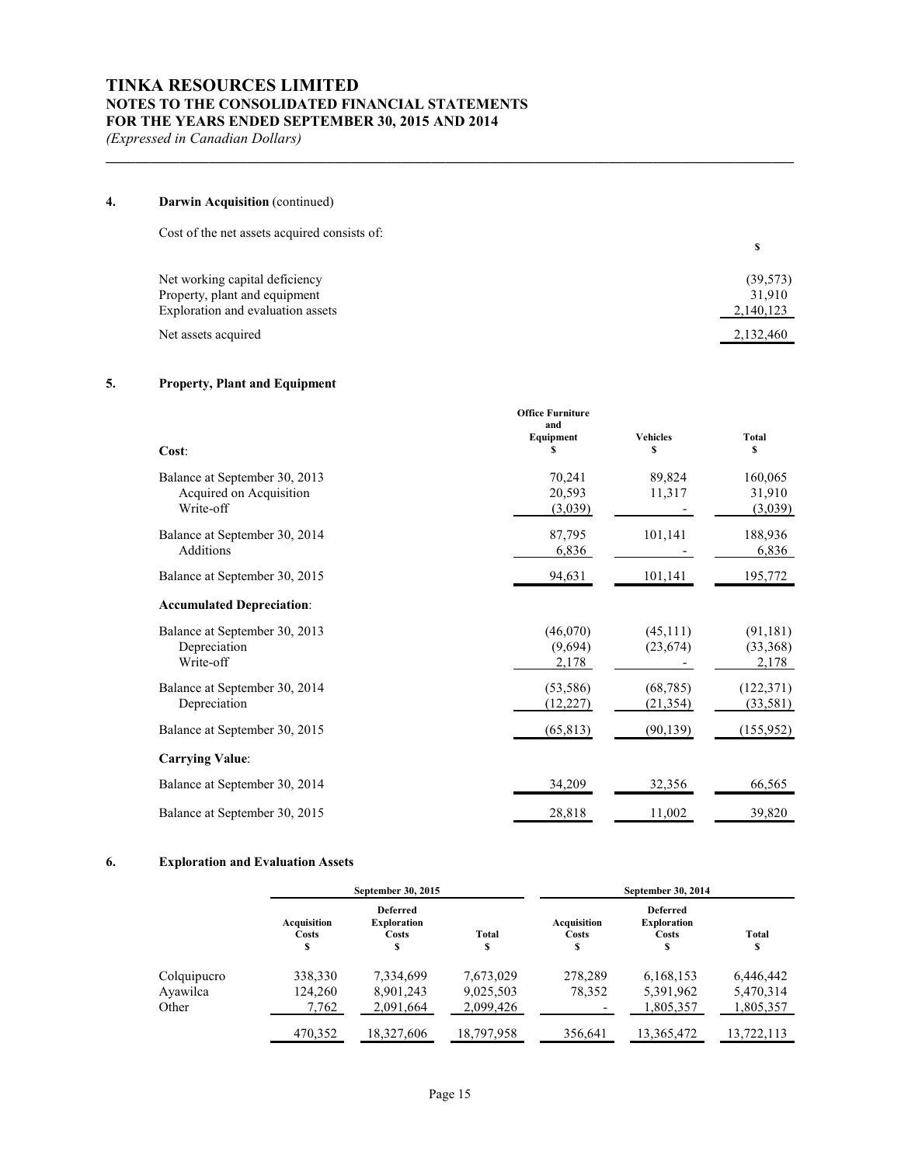## **4. Darwin Acquisition** (continued)

Cost of the net assets acquired consists of:

| Net working capital deficiency<br>Property, plant and equipment<br>Exploration and evaluation assets | (39, 573)<br>31,910<br>2,140,123 |
|------------------------------------------------------------------------------------------------------|----------------------------------|
| Net assets acquired                                                                                  | 2,132,460                        |

**\_\_\_\_\_\_\_\_\_\_\_\_\_\_\_\_\_\_\_\_\_\_\_\_\_\_\_\_\_\_\_\_\_\_\_\_\_\_\_\_\_\_\_\_\_\_\_\_\_\_\_\_\_\_\_\_\_\_\_\_\_\_\_\_\_\_\_\_\_\_\_\_\_\_\_\_\_\_\_\_\_\_\_\_\_\_\_\_\_\_\_\_\_**

## **5. Property, Plant and Equipment**

| Cost:                                                                 | <b>Office Furniture</b><br>and<br>Equipment<br>S | <b>Vehicles</b><br>\$  | <b>Total</b><br>s               |
|-----------------------------------------------------------------------|--------------------------------------------------|------------------------|---------------------------------|
| Balance at September 30, 2013<br>Acquired on Acquisition<br>Write-off | 70,241<br>20,593<br>(3,039)                      | 89,824<br>11,317       | 160,065<br>31,910<br>(3,039)    |
| Balance at September 30, 2014<br>Additions                            | 87,795<br>6,836                                  | 101,141                | 188,936<br>6,836                |
| Balance at September 30, 2015                                         | 94,631                                           | 101,141                | 195,772                         |
| <b>Accumulated Depreciation:</b>                                      |                                                  |                        |                                 |
| Balance at September 30, 2013<br>Depreciation<br>Write-off            | (46,070)<br>(9,694)<br>2,178                     | (45, 111)<br>(23, 674) | (91, 181)<br>(33, 368)<br>2,178 |
| Balance at September 30, 2014<br>Depreciation                         | (53, 586)<br>(12, 227)                           | (68, 785)<br>(21, 354) | (122, 371)<br>(33,581)          |
| Balance at September 30, 2015                                         | (65, 813)                                        | (90, 139)              | (155, 952)                      |
| <b>Carrying Value:</b>                                                |                                                  |                        |                                 |
| Balance at September 30, 2014                                         | 34,209                                           | 32,356                 | 66,565                          |
| Balance at September 30, 2015                                         | 28,818                                           | 11,002                 | 39,820                          |

## **6. Exploration and Evaluation Assets**

|             | September 30, 2015               |                                                      | September 30, 2014 |                           |                                                            |                    |
|-------------|----------------------------------|------------------------------------------------------|--------------------|---------------------------|------------------------------------------------------------|--------------------|
|             | Acquisition<br><b>Costs</b><br>S | <b>Deferred</b><br><b>Exploration</b><br>Costs<br>\$ | Total<br>\$        | Acquisition<br>Costs<br>S | <b>Deferred</b><br><b>Exploration</b><br><b>Costs</b><br>S | <b>Total</b><br>\$ |
| Colquipucro | 338,330                          | 7,334,699                                            | 7,673,029          | 278,289                   | 6,168,153                                                  | 6,446,442          |
| Ayawilca    | 124.260                          | 8,901,243                                            | 9,025,503          | 78,352                    | 5,391,962                                                  | 5,470,314          |
| Other       | 7,762                            | 2,091,664                                            | 2,099,426          |                           | 1,805,357                                                  | 1,805,357          |
|             | 470.352                          | 18,327,606                                           | 18,797,958         | 356.641                   | 13,365,472                                                 | 13.722.113         |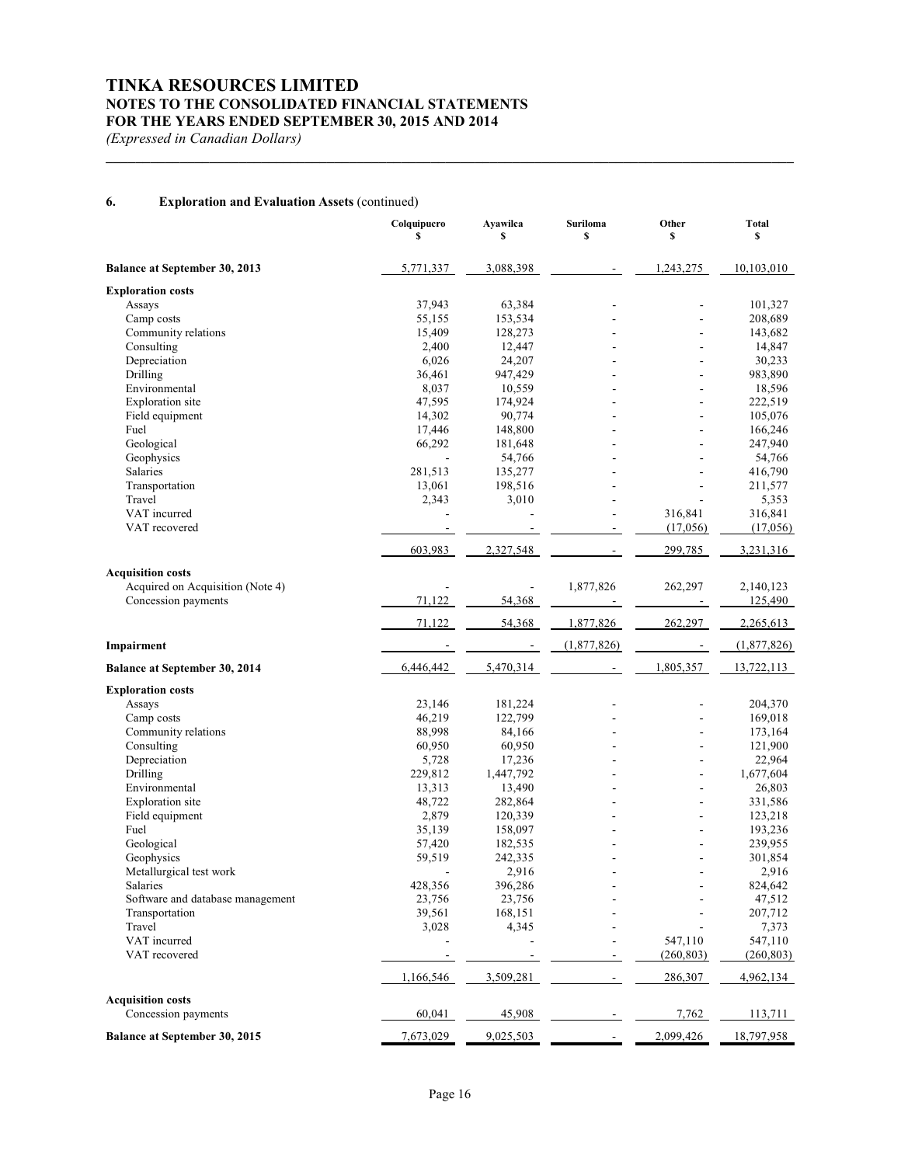## **TINKA RESOURCES LIMITED NOTES TO THE CONSOLIDATED FINANCIAL STATEMENTS FOR THE YEARS ENDED SEPTEMBER 30, 2015 AND 2014**

*(Expressed in Canadian Dollars)*

## **6. Exploration and Evaluation Assets** (continued)

|                                      | Colquipucro<br>S | Ayawilca<br>\$           | <b>Suriloma</b><br>\$ | Other<br>\$    | <b>Total</b><br>\$ |
|--------------------------------------|------------------|--------------------------|-----------------------|----------------|--------------------|
| Balance at September 30, 2013        | 5,771,337        | 3,088,398                |                       | 1,243,275      | 10,103,010         |
| <b>Exploration costs</b>             |                  |                          |                       |                |                    |
| Assays                               | 37,943           | 63,384                   |                       |                | 101,327            |
| Camp costs                           | 55,155           | 153,534                  | ÷                     | $\overline{a}$ | 208,689            |
| Community relations                  | 15,409           | 128,273                  |                       |                | 143,682            |
| Consulting                           | 2,400            | 12,447                   |                       |                | 14,847             |
| Depreciation                         | 6,026            | 24,207                   |                       | $\overline{a}$ | 30,233             |
| Drilling                             | 36,461           | 947,429                  |                       |                | 983,890            |
| Environmental                        | 8,037            | 10,559                   |                       | $\overline{a}$ | 18,596             |
| Exploration site                     | 47,595           | 174,924                  |                       |                | 222,519            |
| Field equipment                      | 14,302           | 90,774                   |                       |                | 105,076            |
| Fuel                                 | 17,446           | 148,800                  |                       |                | 166,246            |
| Geological                           | 66,292           | 181,648                  |                       |                | 247,940            |
| Geophysics                           |                  | 54,766                   |                       | $\overline{a}$ | 54,766             |
| Salaries                             | 281,513          | 135,277                  |                       |                | 416,790            |
| Transportation                       | 13,061           | 198,516                  |                       | $\overline{a}$ | 211,577            |
| Travel                               | 2,343            | 3,010                    |                       |                | 5,353              |
| VAT incurred                         |                  |                          |                       | 316,841        | 316,841            |
| VAT recovered                        |                  |                          |                       | (17,056)       | (17,056)           |
|                                      | 603,983          | 2,327,548                |                       | 299,785        | 3,231,316          |
| <b>Acquisition costs</b>             |                  |                          |                       |                |                    |
| Acquired on Acquisition (Note 4)     |                  |                          | 1,877,826             | 262,297        | 2,140,123          |
| Concession payments                  | 71,122           | 54,368                   |                       |                | 125,490            |
|                                      | 71,122           | 54,368                   | 1,877,826             | 262,297        | 2,265,613          |
| Impairment                           |                  | $\overline{\phantom{a}}$ | (1,877,826)           |                | (1,877,826)        |
| <b>Balance at September 30, 2014</b> | 6,446,442        | 5,470,314                |                       | 1,805,357      | 13,722,113         |
| <b>Exploration costs</b>             |                  |                          |                       |                |                    |
| Assays                               | 23,146           | 181,224                  |                       |                | 204,370            |
| Camp costs                           | 46,219           | 122,799                  |                       |                | 169,018            |
| Community relations                  | 88,998           | 84,166                   |                       |                | 173,164            |
| Consulting                           | 60,950           | 60,950                   |                       |                | 121,900            |
| Depreciation                         | 5,728            | 17,236                   | ÷.                    | $\overline{a}$ | 22,964             |
| Drilling                             | 229,812          | 1,447,792                |                       | $\overline{a}$ | 1,677,604          |
| Environmental                        | 13,313           | 13,490                   |                       |                | 26,803             |
| Exploration site                     | 48,722           | 282,864                  | ٠                     | $\overline{a}$ | 331,586            |
| Field equipment                      | 2,879            | 120,339                  |                       |                | 123,218            |
| Fuel                                 | 35,139           | 158,097                  |                       |                | 193,236            |
| Geological                           | 57,420           | 182,535                  |                       |                | 239,955            |
| Geophysics                           | 59,519           | 242,335                  |                       |                | 301,854            |
| Metallurgical test work              |                  | 2,916                    | ٠                     |                | 2,916              |
| Salaries                             | 428,356          | 396,286                  |                       |                | 824,642            |
| Software and database management     | 23,756           | 23,756                   |                       |                | 47,512             |
| Transportation                       | 39,561           | 168,151                  |                       |                | 207,712            |
| Travel                               | 3,028            | 4,345                    |                       |                | 7,373              |
| VAT incurred                         |                  |                          |                       | 547,110        | 547,110            |
| VAT recovered                        |                  |                          |                       | (260, 803)     | (260, 803)         |
|                                      | 1,166,546        | 3,509,281                |                       | 286,307        | 4,962,134          |
| <b>Acquisition costs</b>             |                  |                          |                       |                |                    |
| Concession payments                  | 60,041           | 45,908                   |                       | 7,762          | 113,711            |
| Balance at September 30, 2015        | 7,673,029        | 9,025,503                |                       | 2,099,426      | 18,797,958         |

**\_\_\_\_\_\_\_\_\_\_\_\_\_\_\_\_\_\_\_\_\_\_\_\_\_\_\_\_\_\_\_\_\_\_\_\_\_\_\_\_\_\_\_\_\_\_\_\_\_\_\_\_\_\_\_\_\_\_\_\_\_\_\_\_\_\_\_\_\_\_\_\_\_\_\_\_\_\_\_\_\_\_\_\_\_\_\_\_\_\_\_\_\_**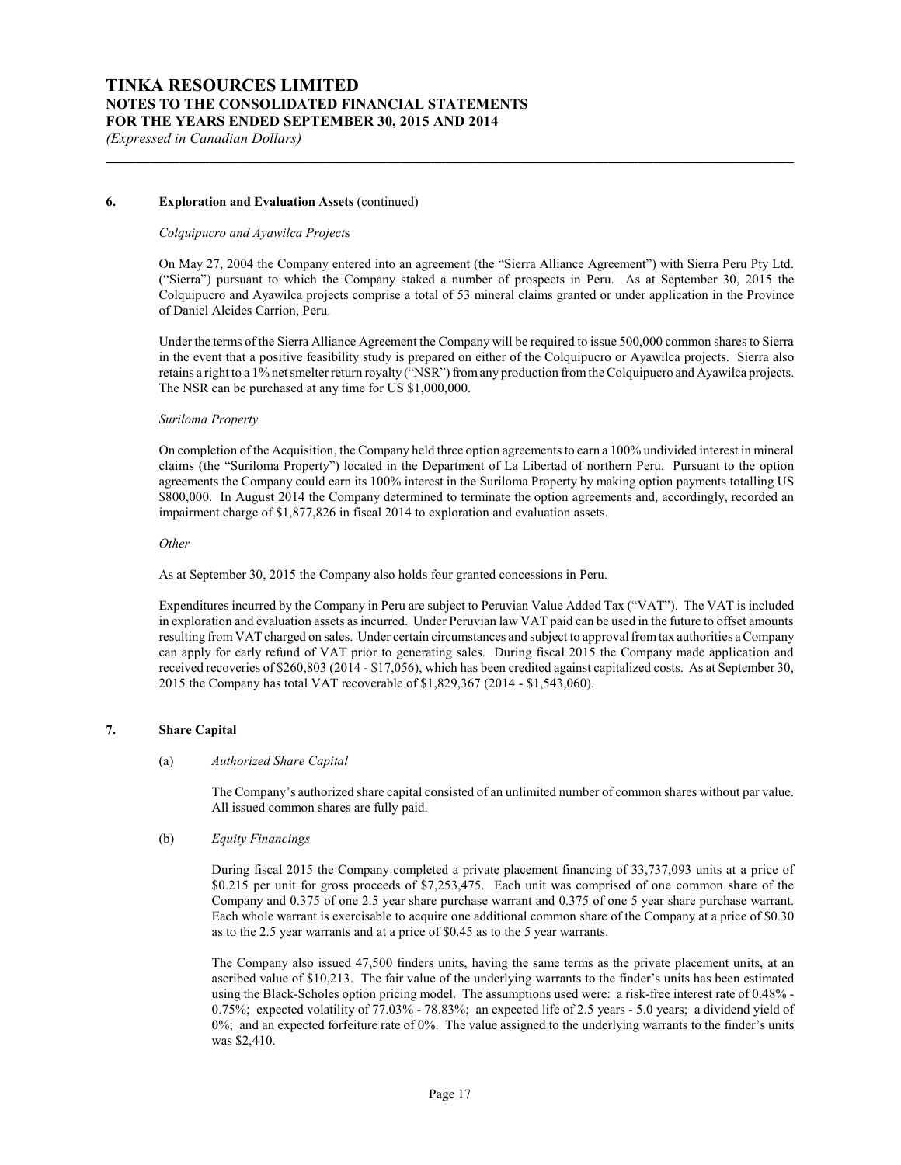## **6. Exploration and Evaluation Assets** (continued)

## *Colquipucro and Ayawilca Project*s

On May 27, 2004 the Company entered into an agreement (the "Sierra Alliance Agreement") with Sierra Peru Pty Ltd. ("Sierra") pursuant to which the Company staked a number of prospects in Peru. As at September 30, 2015 the Colquipucro and Ayawilca projects comprise a total of 53 mineral claims granted or under application in the Province of Daniel Alcides Carrion, Peru.

**\_\_\_\_\_\_\_\_\_\_\_\_\_\_\_\_\_\_\_\_\_\_\_\_\_\_\_\_\_\_\_\_\_\_\_\_\_\_\_\_\_\_\_\_\_\_\_\_\_\_\_\_\_\_\_\_\_\_\_\_\_\_\_\_\_\_\_\_\_\_\_\_\_\_\_\_\_\_\_\_\_\_\_\_\_\_\_\_\_\_\_\_\_**

Under the terms of the Sierra Alliance Agreement the Company will be required to issue 500,000 common shares to Sierra in the event that a positive feasibility study is prepared on either of the Colquipucro or Ayawilca projects. Sierra also retains a right to a 1% net smelter return royalty ("NSR") from any production from the Colquipucro and Ayawilca projects. The NSR can be purchased at any time for US \$1,000,000.

## *Suriloma Property*

On completion of the Acquisition, the Company held three option agreements to earn a 100% undivided interest in mineral claims (the "Suriloma Property") located in the Department of La Libertad of northern Peru. Pursuant to the option agreements the Company could earn its 100% interest in the Suriloma Property by making option payments totalling US \$800,000. In August 2014 the Company determined to terminate the option agreements and, accordingly, recorded an impairment charge of \$1,877,826 in fiscal 2014 to exploration and evaluation assets.

#### *Other*

As at September 30, 2015 the Company also holds four granted concessions in Peru.

Expenditures incurred by the Company in Peru are subject to Peruvian Value Added Tax ("VAT"). The VAT is included in exploration and evaluation assets as incurred. Under Peruvian law VAT paid can be used in the future to offset amounts resulting from VAT charged on sales. Under certain circumstances and subject to approval from tax authorities a Company can apply for early refund of VAT prior to generating sales. During fiscal 2015 the Company made application and received recoveries of \$260,803 (2014 - \$17,056), which has been credited against capitalized costs. As at September 30, 2015 the Company has total VAT recoverable of \$1,829,367 (2014 - \$1,543,060).

## **7. Share Capital**

## (a) *Authorized Share Capital*

The Company's authorized share capital consisted of an unlimited number of common shares without par value. All issued common shares are fully paid.

## (b) *Equity Financings*

During fiscal 2015 the Company completed a private placement financing of 33,737,093 units at a price of \$0.215 per unit for gross proceeds of \$7,253,475. Each unit was comprised of one common share of the Company and 0.375 of one 2.5 year share purchase warrant and 0.375 of one 5 year share purchase warrant. Each whole warrant is exercisable to acquire one additional common share of the Company at a price of \$0.30 as to the 2.5 year warrants and at a price of \$0.45 as to the 5 year warrants.

The Company also issued 47,500 finders units, having the same terms as the private placement units, at an ascribed value of \$10,213. The fair value of the underlying warrants to the finder's units has been estimated using the Black-Scholes option pricing model. The assumptions used were: a risk-free interest rate of 0.48% - 0.75%; expected volatility of 77.03% - 78.83%; an expected life of 2.5 years - 5.0 years; a dividend yield of 0%; and an expected forfeiture rate of 0%. The value assigned to the underlying warrants to the finder's units was \$2,410.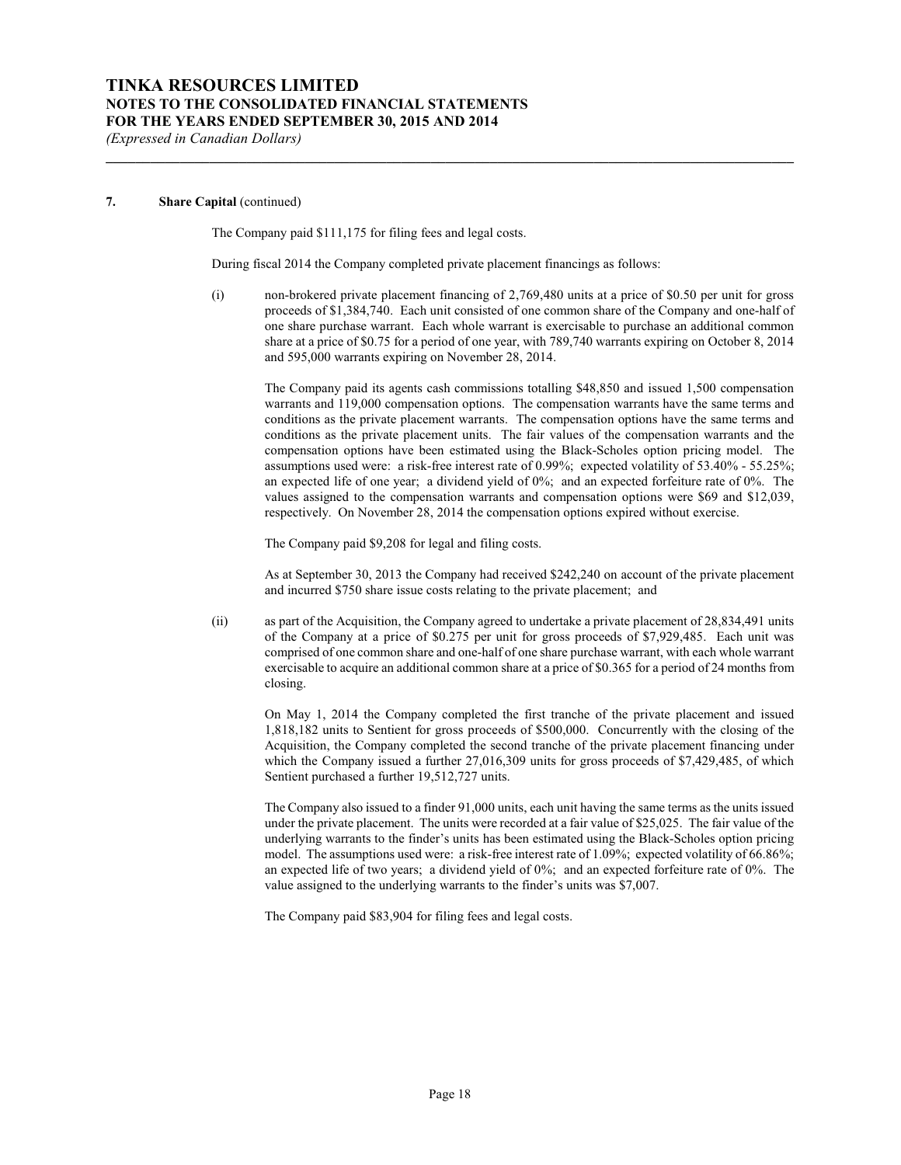## **7. Share Capital** (continued)

The Company paid \$111,175 for filing fees and legal costs.

During fiscal 2014 the Company completed private placement financings as follows:

**\_\_\_\_\_\_\_\_\_\_\_\_\_\_\_\_\_\_\_\_\_\_\_\_\_\_\_\_\_\_\_\_\_\_\_\_\_\_\_\_\_\_\_\_\_\_\_\_\_\_\_\_\_\_\_\_\_\_\_\_\_\_\_\_\_\_\_\_\_\_\_\_\_\_\_\_\_\_\_\_\_\_\_\_\_\_\_\_\_\_\_\_\_**

(i) non-brokered private placement financing of 2,769,480 units at a price of \$0.50 per unit for gross proceeds of \$1,384,740. Each unit consisted of one common share of the Company and one-half of one share purchase warrant. Each whole warrant is exercisable to purchase an additional common share at a price of \$0.75 for a period of one year, with 789,740 warrants expiring on October 8, 2014 and 595,000 warrants expiring on November 28, 2014.

The Company paid its agents cash commissions totalling \$48,850 and issued 1,500 compensation warrants and 119,000 compensation options. The compensation warrants have the same terms and conditions as the private placement warrants. The compensation options have the same terms and conditions as the private placement units. The fair values of the compensation warrants and the compensation options have been estimated using the Black-Scholes option pricing model. The assumptions used were: a risk-free interest rate of 0.99%; expected volatility of 53.40% - 55.25%; an expected life of one year; a dividend yield of 0%; and an expected forfeiture rate of 0%. The values assigned to the compensation warrants and compensation options were \$69 and \$12,039, respectively. On November 28, 2014 the compensation options expired without exercise.

The Company paid \$9,208 for legal and filing costs.

As at September 30, 2013 the Company had received \$242,240 on account of the private placement and incurred \$750 share issue costs relating to the private placement; and

(ii) as part of the Acquisition, the Company agreed to undertake a private placement of 28,834,491 units of the Company at a price of \$0.275 per unit for gross proceeds of \$7,929,485. Each unit was comprised of one common share and one-half of one share purchase warrant, with each whole warrant exercisable to acquire an additional common share at a price of \$0.365 for a period of 24 months from closing.

On May 1, 2014 the Company completed the first tranche of the private placement and issued 1,818,182 units to Sentient for gross proceeds of \$500,000. Concurrently with the closing of the Acquisition, the Company completed the second tranche of the private placement financing under which the Company issued a further 27,016,309 units for gross proceeds of \$7,429,485, of which Sentient purchased a further 19,512,727 units.

The Company also issued to a finder 91,000 units, each unit having the same terms as the units issued under the private placement. The units were recorded at a fair value of \$25,025. The fair value of the underlying warrants to the finder's units has been estimated using the Black-Scholes option pricing model. The assumptions used were: a risk-free interest rate of 1.09%; expected volatility of 66.86%; an expected life of two years; a dividend yield of 0%; and an expected forfeiture rate of 0%. The value assigned to the underlying warrants to the finder's units was \$7,007.

The Company paid \$83,904 for filing fees and legal costs.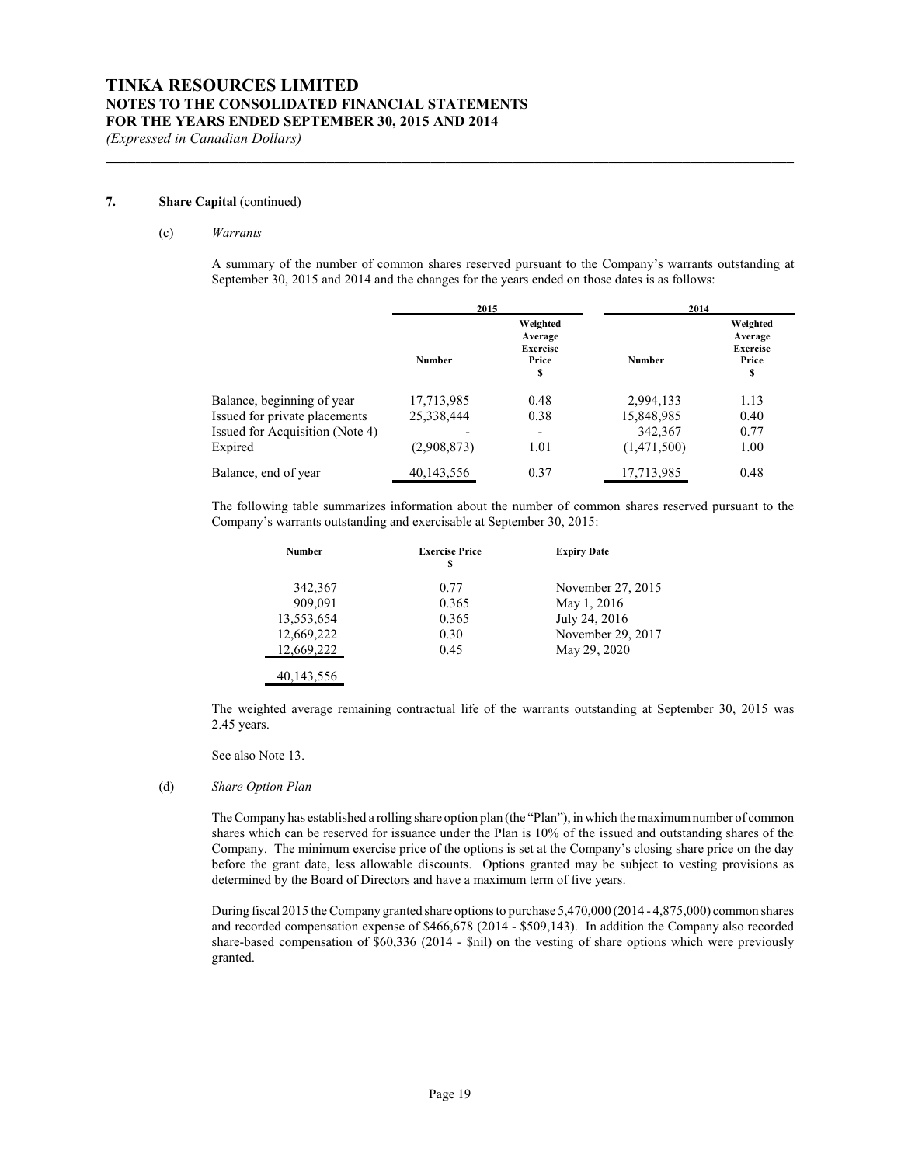## **7. Share Capital** (continued)

## (c) *Warrants*

A summary of the number of common shares reserved pursuant to the Company's warrants outstanding at September 30, 2015 and 2014 and the changes for the years ended on those dates is as follows:

**\_\_\_\_\_\_\_\_\_\_\_\_\_\_\_\_\_\_\_\_\_\_\_\_\_\_\_\_\_\_\_\_\_\_\_\_\_\_\_\_\_\_\_\_\_\_\_\_\_\_\_\_\_\_\_\_\_\_\_\_\_\_\_\_\_\_\_\_\_\_\_\_\_\_\_\_\_\_\_\_\_\_\_\_\_\_\_\_\_\_\_\_\_**

|                                 | 2015                     |                                                       | 2014          |                                                       |
|---------------------------------|--------------------------|-------------------------------------------------------|---------------|-------------------------------------------------------|
|                                 | <b>Number</b>            | Weighted<br>Average<br><b>Exercise</b><br>Price<br>\$ | <b>Number</b> | Weighted<br>Average<br><b>Exercise</b><br>Price<br>\$ |
| Balance, beginning of year      | 17,713,985               | 0.48                                                  | 2,994,133     | 1.13                                                  |
| Issued for private placements   | 25,338,444               | 0.38                                                  | 15,848,985    | 0.40                                                  |
| Issued for Acquisition (Note 4) | $\overline{\phantom{0}}$ | $\overline{\phantom{a}}$                              | 342,367       | 0.77                                                  |
| Expired                         | (2,908,873)              | 1.01                                                  | (1,471,500)   | 1.00                                                  |
| Balance, end of year            | 40,143,556               | 0.37                                                  | 17,713,985    | 0.48                                                  |

The following table summarizes information about the number of common shares reserved pursuant to the Company's warrants outstanding and exercisable at September 30, 2015:

| <b>Number</b> | <b>Exercise Price</b><br>S | <b>Expiry Date</b> |
|---------------|----------------------------|--------------------|
| 342,367       | 0.77                       | November 27, 2015  |
| 909,091       | 0.365                      | May 1, 2016        |
| 13,553,654    | 0.365                      | July 24, 2016      |
| 12,669,222    | 0.30                       | November 29, 2017  |
| 12,669,222    | 0.45                       | May 29, 2020       |
| 40.143.556    |                            |                    |

The weighted average remaining contractual life of the warrants outstanding at September 30, 2015 was 2.45 years.

See also Note 13.

#### (d) *Share Option Plan*

The Company has established a rolling share option plan (the "Plan"), in which the maximumnumber of common shares which can be reserved for issuance under the Plan is 10% of the issued and outstanding shares of the Company. The minimum exercise price of the options is set at the Company's closing share price on the day before the grant date, less allowable discounts. Options granted may be subject to vesting provisions as determined by the Board of Directors and have a maximum term of five years.

During fiscal 2015 the Company granted share options to purchase 5,470,000 (2014 - 4,875,000) common shares and recorded compensation expense of \$466,678 (2014 - \$509,143). In addition the Company also recorded share-based compensation of \$60,336 (2014 - \$nil) on the vesting of share options which were previously granted.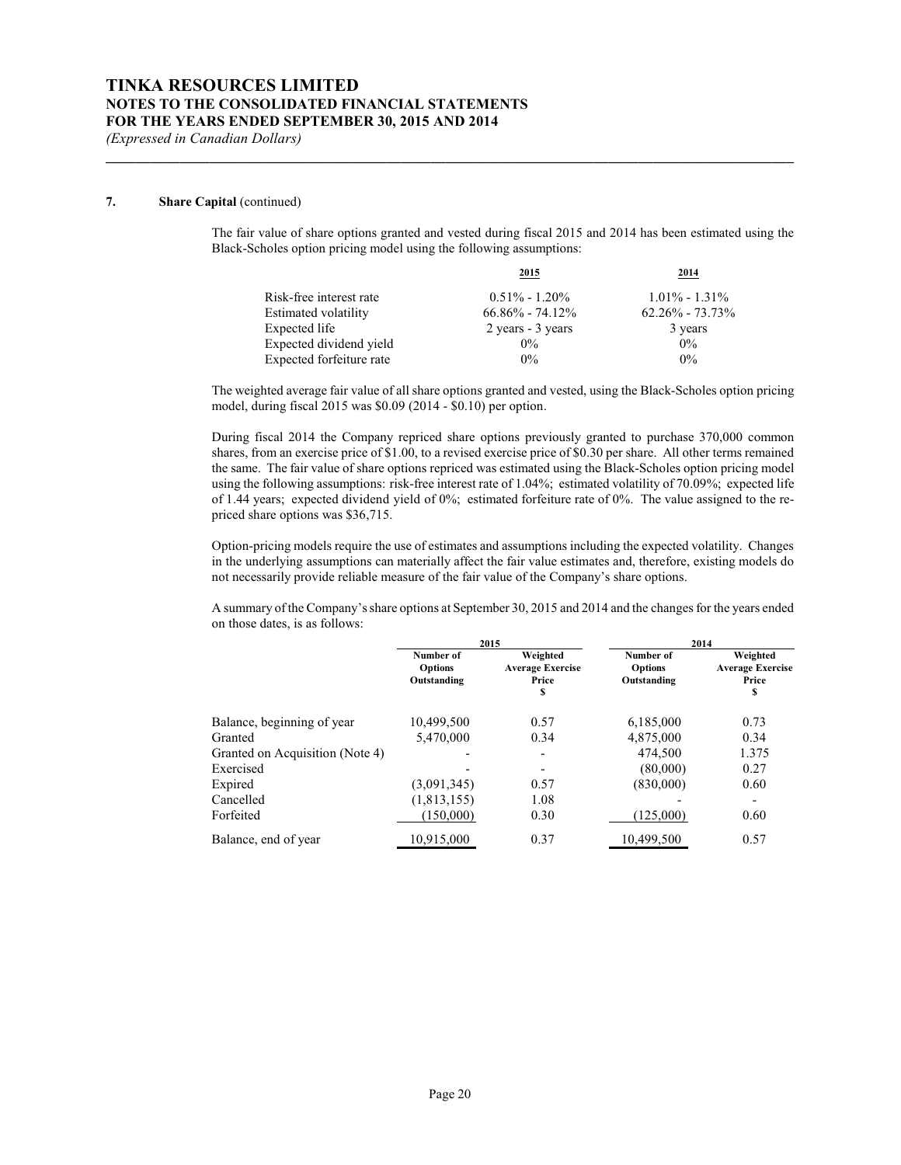## **7. Share Capital** (continued)

The fair value of share options granted and vested during fiscal 2015 and 2014 has been estimated using the Black-Scholes option pricing model using the following assumptions:

**\_\_\_\_\_\_\_\_\_\_\_\_\_\_\_\_\_\_\_\_\_\_\_\_\_\_\_\_\_\_\_\_\_\_\_\_\_\_\_\_\_\_\_\_\_\_\_\_\_\_\_\_\_\_\_\_\_\_\_\_\_\_\_\_\_\_\_\_\_\_\_\_\_\_\_\_\_\_\_\_\_\_\_\_\_\_\_\_\_\_\_\_\_**

|                          | 2015                | 2014                |
|--------------------------|---------------------|---------------------|
| Risk-free interest rate  | $0.51\% - 1.20\%$   | $1.01\% - 1.31\%$   |
| Estimated volatility     | $66.86\% - 74.12\%$ | $62.26\% - 73.73\%$ |
| Expected life            | 2 years - 3 years   | 3 years             |
| Expected dividend yield  | $0\%$               | $0\%$               |
| Expected forfeiture rate | $0\%$               | $0\%$               |

The weighted average fair value of all share options granted and vested, using the Black-Scholes option pricing model, during fiscal 2015 was \$0.09 (2014 - \$0.10) per option.

During fiscal 2014 the Company repriced share options previously granted to purchase 370,000 common shares, from an exercise price of \$1.00, to a revised exercise price of \$0.30 per share. All other terms remained the same. The fair value of share options repriced was estimated using the Black-Scholes option pricing model using the following assumptions: risk-free interest rate of 1.04%; estimated volatility of 70.09%; expected life of 1.44 years; expected dividend yield of 0%; estimated forfeiture rate of 0%. The value assigned to the repriced share options was \$36,715.

Option-pricing models require the use of estimates and assumptions including the expected volatility. Changes in the underlying assumptions can materially affect the fair value estimates and, therefore, existing models do not necessarily provide reliable measure of the fair value of the Company's share options.

A summary of the Company'sshare options at September 30, 2015 and 2014 and the changes for the years ended on those dates, is as follows:

|                                 | 2015                                       |                                                    | 2014                                       |                                                    |  |
|---------------------------------|--------------------------------------------|----------------------------------------------------|--------------------------------------------|----------------------------------------------------|--|
|                                 | Number of<br><b>Options</b><br>Outstanding | Weighted<br><b>Average Exercise</b><br>Price<br>\$ | Number of<br><b>Options</b><br>Outstanding | Weighted<br><b>Average Exercise</b><br>Price<br>\$ |  |
| Balance, beginning of year      | 10,499,500                                 | 0.57                                               | 6,185,000                                  | 0.73                                               |  |
| Granted                         | 5,470,000                                  | 0.34                                               | 4,875,000                                  | 0.34                                               |  |
| Granted on Acquisition (Note 4) |                                            | $\overline{a}$                                     | 474,500                                    | 1.375                                              |  |
| Exercised                       |                                            | $\overline{\phantom{a}}$                           | (80,000)                                   | 0.27                                               |  |
| Expired                         | (3,091,345)                                | 0.57                                               | (830,000)                                  | 0.60                                               |  |
| Cancelled                       | (1,813,155)                                | 1.08                                               |                                            |                                                    |  |
| Forfeited                       | (150,000)                                  | 0.30                                               | (125,000)                                  | 0.60                                               |  |
| Balance, end of year            | 10,915,000                                 | 0.37                                               | 10,499,500                                 | 0.57                                               |  |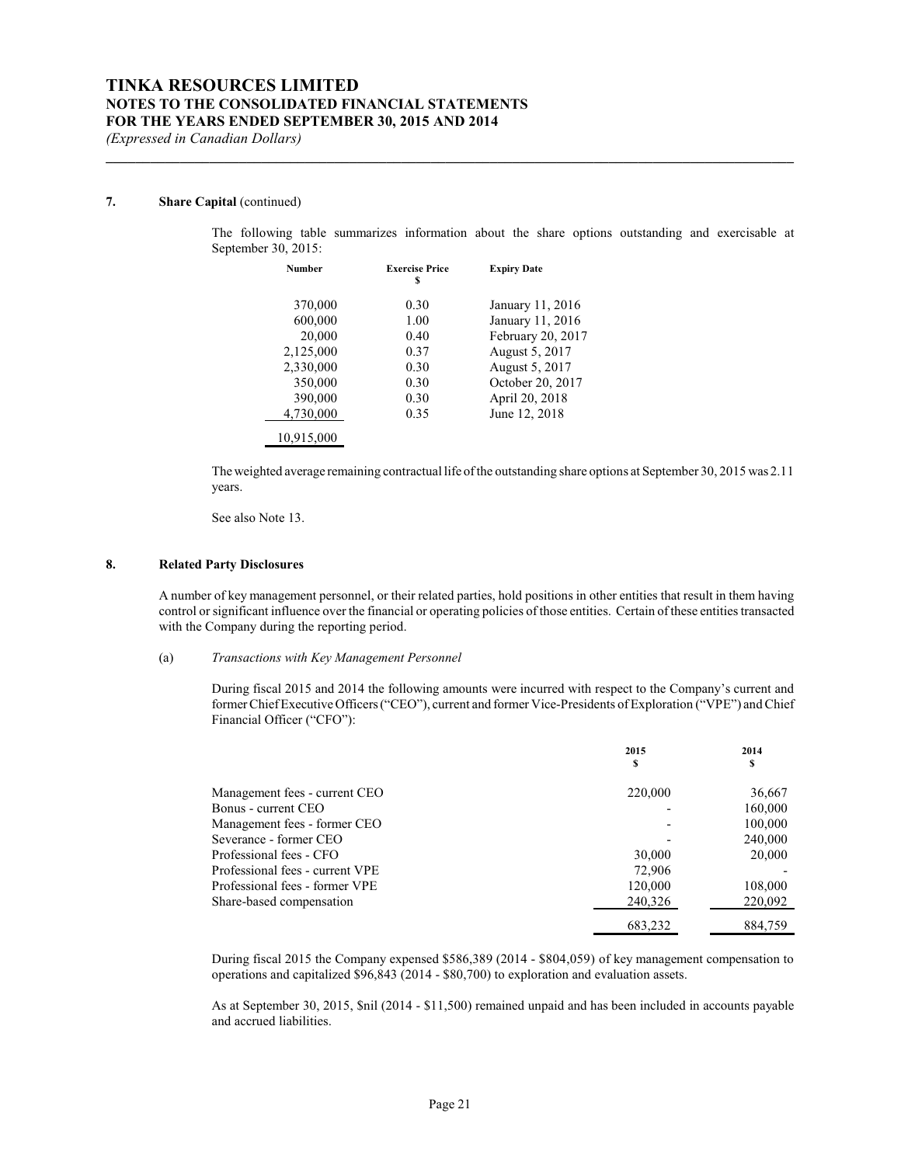## **7. Share Capital** (continued)

The following table summarizes information about the share options outstanding and exercisable at September 30, 2015:

| <b>Number</b> | <b>Exercise Price</b><br>S | <b>Expiry Date</b> |
|---------------|----------------------------|--------------------|
| 370,000       | 0.30                       | January 11, 2016   |
| 600,000       | 1.00                       | January 11, 2016   |
| 20,000        | 0.40                       | February 20, 2017  |
| 2,125,000     | 0.37                       | August 5, 2017     |
| 2,330,000     | 0.30                       | August 5, 2017     |
| 350,000       | 0.30                       | October 20, 2017   |
| 390,000       | 0.30                       | April 20, 2018     |
| 4,730,000     | 0.35                       | June 12, 2018      |
| 10,915,000    |                            |                    |

**\_\_\_\_\_\_\_\_\_\_\_\_\_\_\_\_\_\_\_\_\_\_\_\_\_\_\_\_\_\_\_\_\_\_\_\_\_\_\_\_\_\_\_\_\_\_\_\_\_\_\_\_\_\_\_\_\_\_\_\_\_\_\_\_\_\_\_\_\_\_\_\_\_\_\_\_\_\_\_\_\_\_\_\_\_\_\_\_\_\_\_\_\_**

The weighted average remaining contractual life of the outstanding share options at September 30, 2015 was 2.11 years.

See also Note 13.

## **8. Related Party Disclosures**

A number of key management personnel, or their related parties, hold positions in other entities that result in them having control or significant influence over the financial or operating policies of those entities. Certain of these entities transacted with the Company during the reporting period.

## (a) *Transactions with Key Management Personnel*

During fiscal 2015 and 2014 the following amounts were incurred with respect to the Company's current and former Chief Executive Officers ("CEO"), current and former Vice-Presidents of Exploration ("VPE") and Chief Financial Officer ("CFO"):

|                                 | 2015    | 2014    |
|---------------------------------|---------|---------|
|                                 | S       | S       |
| Management fees - current CEO   | 220,000 | 36,667  |
| Bonus - current CEO             |         | 160,000 |
| Management fees - former CEO    |         | 100,000 |
| Severance - former CEO          |         | 240,000 |
| Professional fees - CFO         | 30,000  | 20,000  |
| Professional fees - current VPE | 72,906  |         |
| Professional fees - former VPE  | 120,000 | 108,000 |
| Share-based compensation        | 240,326 | 220,092 |
|                                 | 683,232 | 884.759 |

During fiscal 2015 the Company expensed \$586,389 (2014 - \$804,059) of key management compensation to operations and capitalized \$96,843 (2014 - \$80,700) to exploration and evaluation assets.

As at September 30, 2015, \$nil (2014 - \$11,500) remained unpaid and has been included in accounts payable and accrued liabilities.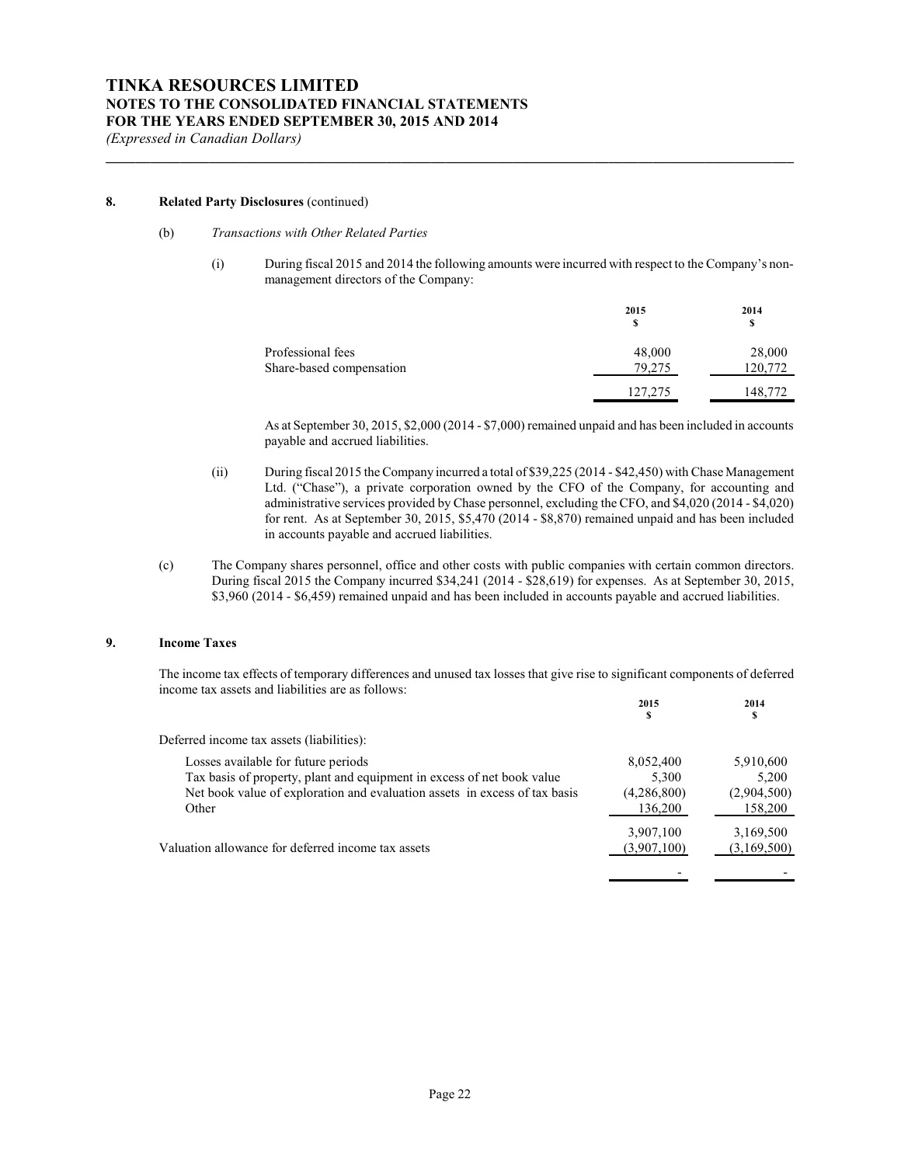## **8. Related Party Disclosures** (continued)

## (b) *Transactions with Other Related Parties*

(i) During fiscal 2015 and 2014 the following amounts were incurred with respect to the Company's nonmanagement directors of the Company:

**\_\_\_\_\_\_\_\_\_\_\_\_\_\_\_\_\_\_\_\_\_\_\_\_\_\_\_\_\_\_\_\_\_\_\_\_\_\_\_\_\_\_\_\_\_\_\_\_\_\_\_\_\_\_\_\_\_\_\_\_\_\_\_\_\_\_\_\_\_\_\_\_\_\_\_\_\_\_\_\_\_\_\_\_\_\_\_\_\_\_\_\_\_**

|                          | 2015<br>\$ | 2014<br>S |
|--------------------------|------------|-----------|
| Professional fees        | 48,000     | 28,000    |
| Share-based compensation | 79.275     | 120,772   |
|                          | 127,275    | 148,772   |

As at September 30, 2015, \$2,000 (2014 - \$7,000) remained unpaid and has been included in accounts payable and accrued liabilities.

- (ii) During fiscal 2015 the Company incurred a total of \$39,225 (2014 \$42,450) with Chase Management Ltd. ("Chase"), a private corporation owned by the CFO of the Company, for accounting and administrative services provided by Chase personnel, excluding the CFO, and \$4,020 (2014 - \$4,020) for rent. As at September 30, 2015, \$5,470 (2014 - \$8,870) remained unpaid and has been included in accounts payable and accrued liabilities.
- (c) The Company shares personnel, office and other costs with public companies with certain common directors. During fiscal 2015 the Company incurred \$34,241 (2014 - \$28,619) for expenses. As at September 30, 2015, \$3,960 (2014 - \$6,459) remained unpaid and has been included in accounts payable and accrued liabilities.

## **9. Income Taxes**

The income tax effects of temporary differences and unused tax losses that give rise to significant components of deferred income tax assets and liabilities are as follows:

|                                                                            | 2015<br>S   | 2014<br>S   |
|----------------------------------------------------------------------------|-------------|-------------|
| Deferred income tax assets (liabilities):                                  |             |             |
| Losses available for future periods                                        | 8,052,400   | 5,910,600   |
| Tax basis of property, plant and equipment in excess of net book value     | 5.300       | 5,200       |
| Net book value of exploration and evaluation assets in excess of tax basis | (4,286,800) | (2,904,500) |
| Other                                                                      | 136,200     | 158,200     |
|                                                                            | 3,907,100   | 3,169,500   |
| Valuation allowance for deferred income tax assets                         | (3,907,100) | (3,169,500) |
|                                                                            |             |             |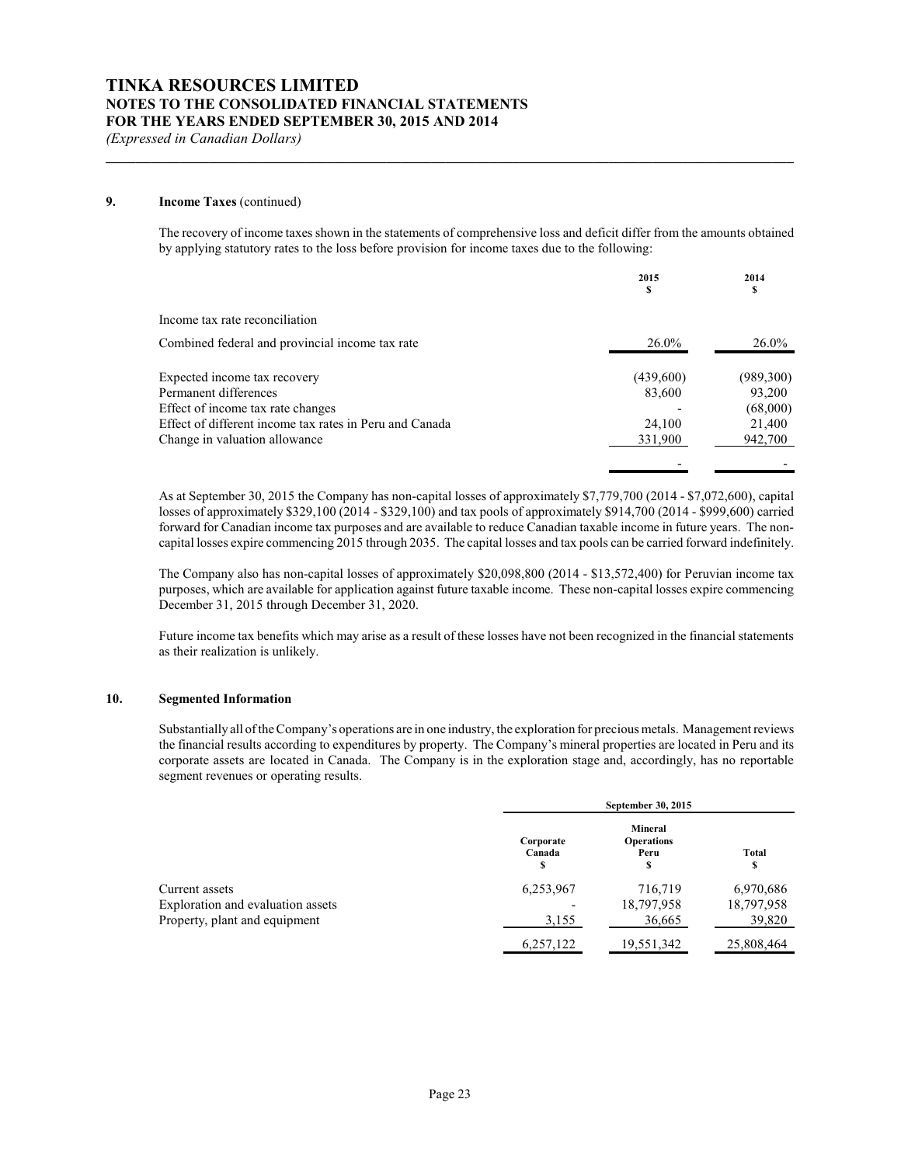## **9. Income Taxes** (continued)

The recovery of income taxes shown in the statements of comprehensive loss and deficit differ from the amounts obtained by applying statutory rates to the loss before provision for income taxes due to the following:

**\_\_\_\_\_\_\_\_\_\_\_\_\_\_\_\_\_\_\_\_\_\_\_\_\_\_\_\_\_\_\_\_\_\_\_\_\_\_\_\_\_\_\_\_\_\_\_\_\_\_\_\_\_\_\_\_\_\_\_\_\_\_\_\_\_\_\_\_\_\_\_\_\_\_\_\_\_\_\_\_\_\_\_\_\_\_\_\_\_\_\_\_\_**

|                                                         | 2015<br>S | 2014<br>s  |
|---------------------------------------------------------|-----------|------------|
| Income tax rate reconciliation                          |           |            |
| Combined federal and provincial income tax rate         | $26.0\%$  | $26.0\%$   |
| Expected income tax recovery                            | (439,600) | (989, 300) |
| Permanent differences                                   | 83,600    | 93,200     |
| Effect of income tax rate changes                       |           | (68,000)   |
| Effect of different income tax rates in Peru and Canada | 24,100    | 21,400     |
| Change in valuation allowance                           | 331,900   | 942,700    |
|                                                         |           |            |

As at September 30, 2015 the Company has non-capital losses of approximately \$7,779,700 (2014 - \$7,072,600), capital losses of approximately \$329,100 (2014 - \$329,100) and tax pools of approximately \$914,700 (2014 - \$999,600) carried forward for Canadian income tax purposes and are available to reduce Canadian taxable income in future years. The noncapital losses expire commencing 2015 through 2035. The capital losses and tax pools can be carried forward indefinitely.

The Company also has non-capital losses of approximately \$20,098,800 (2014 - \$13,572,400) for Peruvian income tax purposes, which are available for application against future taxable income. These non-capital losses expire commencing December 31, 2015 through December 31, 2020.

Future income tax benefits which may arise as a result of these losses have not been recognized in the financial statements as their realization is unlikely.

## **10. Segmented Information**

Substantially all of the Company's operations are in one industry, the exploration for precious metals. Management reviews the financial results according to expenditures by property. The Company's mineral properties are located in Peru and its corporate assets are located in Canada. The Company is in the exploration stage and, accordingly, has no reportable segment revenues or operating results.

|                                                                                      |                          | September 30, 2015                                |                                   |  |  |
|--------------------------------------------------------------------------------------|--------------------------|---------------------------------------------------|-----------------------------------|--|--|
|                                                                                      | Corporate<br>Canada<br>S | <b>Mineral</b><br><b>Operations</b><br>Peru<br>\$ | <b>Total</b><br>\$                |  |  |
| Current assets<br>Exploration and evaluation assets<br>Property, plant and equipment | 6,253,967<br>3,155       | 716,719<br>18,797,958<br>36,665                   | 6,970,686<br>18,797,958<br>39,820 |  |  |
|                                                                                      | 6,257,122                | 19,551,342                                        | 25,808,464                        |  |  |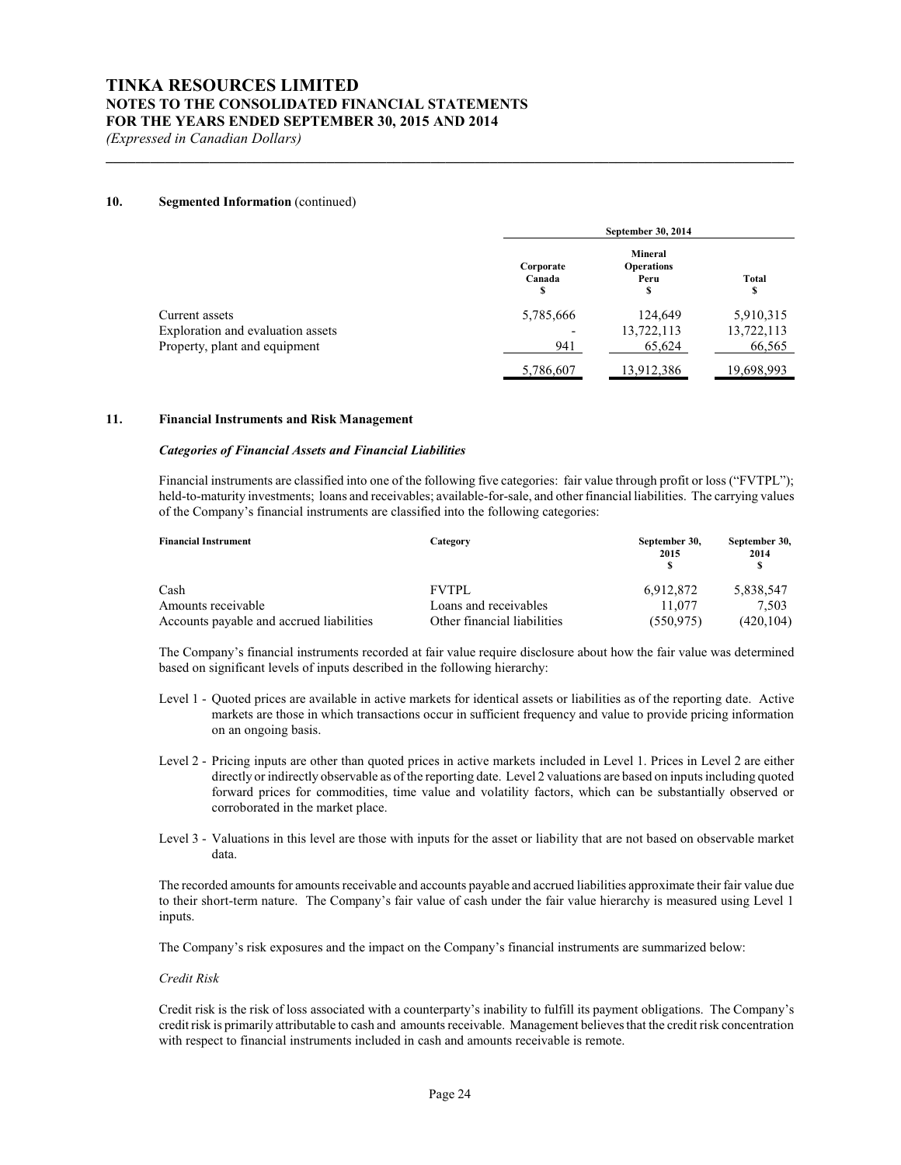## **10. Segmented Information** (continued)

|                                   |                          | September 30, 2014                               |             |  |
|-----------------------------------|--------------------------|--------------------------------------------------|-------------|--|
|                                   | Corporate<br>Canada<br>S | <b>Mineral</b><br><b>Operations</b><br>Peru<br>S | Total<br>\$ |  |
| Current assets                    | 5,785,666                | 124,649                                          | 5,910,315   |  |
| Exploration and evaluation assets |                          | 13,722,113                                       | 13,722,113  |  |
| Property, plant and equipment     | 941                      | 65,624                                           | 66,565      |  |
|                                   | 5,786,607                | 13,912,386                                       | 19,698,993  |  |

**\_\_\_\_\_\_\_\_\_\_\_\_\_\_\_\_\_\_\_\_\_\_\_\_\_\_\_\_\_\_\_\_\_\_\_\_\_\_\_\_\_\_\_\_\_\_\_\_\_\_\_\_\_\_\_\_\_\_\_\_\_\_\_\_\_\_\_\_\_\_\_\_\_\_\_\_\_\_\_\_\_\_\_\_\_\_\_\_\_\_\_\_\_**

## **11. Financial Instruments and Risk Management**

## *Categories of Financial Assets and Financial Liabilities*

Financial instruments are classified into one of the following five categories: fair value through profit or loss ("FVTPL"); held-to-maturity investments; loans and receivables; available-for-sale, and other financial liabilities. The carrying values of the Company's financial instruments are classified into the following categories:

| <b>Financial Instrument</b>              | Category                    | September 30,<br>2015 | September 30,<br>2014 |
|------------------------------------------|-----------------------------|-----------------------|-----------------------|
| Cash                                     | <b>FVTPL</b>                | 6.912.872             | 5,838,547             |
| Amounts receivable                       | Loans and receivables       | 11.077                | 7.503                 |
| Accounts payable and accrued liabilities | Other financial liabilities | (550, 975)            | (420, 104)            |

The Company's financial instruments recorded at fair value require disclosure about how the fair value was determined based on significant levels of inputs described in the following hierarchy:

- Level 1 Quoted prices are available in active markets for identical assets or liabilities as of the reporting date. Active markets are those in which transactions occur in sufficient frequency and value to provide pricing information on an ongoing basis.
- Level 2 Pricing inputs are other than quoted prices in active markets included in Level 1. Prices in Level 2 are either directly or indirectly observable as of the reporting date. Level 2 valuations are based on inputs including quoted forward prices for commodities, time value and volatility factors, which can be substantially observed or corroborated in the market place.
- Level 3 Valuations in this level are those with inputs for the asset or liability that are not based on observable market data.

The recorded amounts for amounts receivable and accounts payable and accrued liabilities approximate their fair value due to their short-term nature. The Company's fair value of cash under the fair value hierarchy is measured using Level 1 inputs.

The Company's risk exposures and the impact on the Company's financial instruments are summarized below:

## *Credit Risk*

Credit risk is the risk of loss associated with a counterparty's inability to fulfill its payment obligations. The Company's credit risk is primarily attributable to cash and amounts receivable. Management believes that the credit risk concentration with respect to financial instruments included in cash and amounts receivable is remote.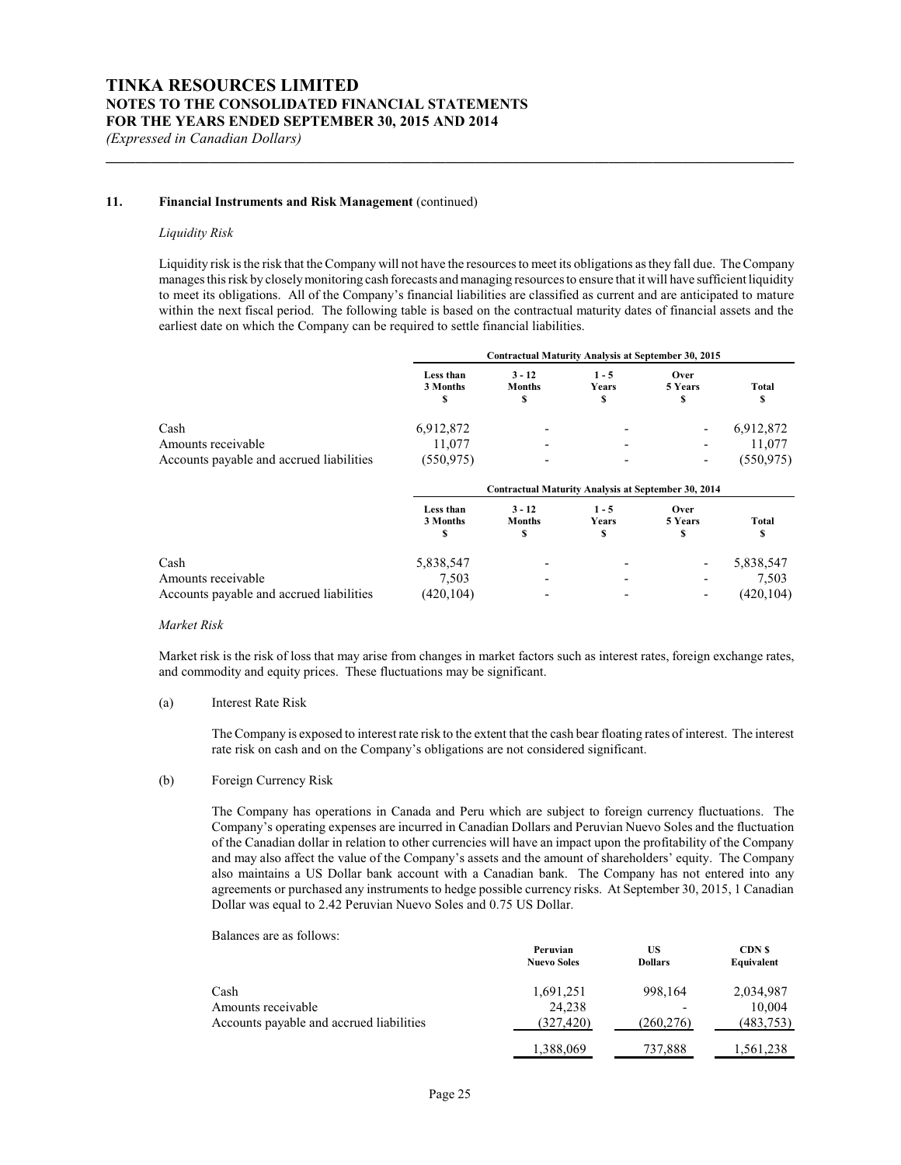## **11. Financial Instruments and Risk Management** (continued)

## *Liquidity Risk*

Liquidity risk is the risk that the Company will not have the resources to meet its obligations as they fall due. The Company manages this risk by closelymonitoring cash forecasts and managing resources to ensure that it will have sufficient liquidity to meet its obligations. All of the Company's financial liabilities are classified as current and are anticipated to mature within the next fiscal period. The following table is based on the contractual maturity dates of financial assets and the earliest date on which the Company can be required to settle financial liabilities.

**\_\_\_\_\_\_\_\_\_\_\_\_\_\_\_\_\_\_\_\_\_\_\_\_\_\_\_\_\_\_\_\_\_\_\_\_\_\_\_\_\_\_\_\_\_\_\_\_\_\_\_\_\_\_\_\_\_\_\_\_\_\_\_\_\_\_\_\_\_\_\_\_\_\_\_\_\_\_\_\_\_\_\_\_\_\_\_\_\_\_\_\_\_**

|                                          |                             | Contractual Maturity Analysis at September 30, 2015 |                        |                          |             |
|------------------------------------------|-----------------------------|-----------------------------------------------------|------------------------|--------------------------|-------------|
|                                          | Less than<br>3 Months<br>\$ | $3 - 12$<br><b>Months</b><br>\$                     | $1 - 5$<br>Years<br>\$ | Over<br>5 Years<br>S     | Total       |
| Cash                                     | 6,912,872                   |                                                     |                        | $\overline{\phantom{a}}$ | 6,912,872   |
| Amounts receivable                       | 11,077                      |                                                     |                        | $\overline{\phantom{a}}$ | 11,077      |
| Accounts payable and accrued liabilities | (550, 975)                  |                                                     |                        | $\overline{\phantom{a}}$ | (550, 975)  |
|                                          |                             | Contractual Maturity Analysis at September 30, 2014 |                        |                          |             |
|                                          | Less than<br>3 Months<br>S  | $3 - 12$<br><b>Months</b><br>\$                     | $1 - 5$<br>Years<br>S  | Over<br>5 Years<br>S     | Total<br>\$ |

| Cash                                     | 5.838.547 | $\overline{\phantom{0}}$ | $\overline{\phantom{0}}$ | $\sim$ $\sim$            | 5.838.547 |
|------------------------------------------|-----------|--------------------------|--------------------------|--------------------------|-----------|
| Amounts receivable                       | 7.503     | $\overline{\phantom{0}}$ | $\overline{\phantom{0}}$ | $\overline{\phantom{0}}$ | 7.503     |
| Accounts payable and accrued liabilities | (420.104) | $\overline{\phantom{0}}$ | $\overline{\phantom{0}}$ | $\overline{\phantom{a}}$ | (420.104) |

#### *Market Risk*

Market risk is the risk of loss that may arise from changes in market factors such as interest rates, foreign exchange rates, and commodity and equity prices. These fluctuations may be significant.

## (a) Interest Rate Risk

The Company is exposed to interest rate risk to the extent that the cash bear floating rates of interest. The interest rate risk on cash and on the Company's obligations are not considered significant.

#### (b) Foreign Currency Risk

The Company has operations in Canada and Peru which are subject to foreign currency fluctuations. The Company's operating expenses are incurred in Canadian Dollars and Peruvian Nuevo Soles and the fluctuation of the Canadian dollar in relation to other currencies will have an impact upon the profitability of the Company and may also affect the value of the Company's assets and the amount of shareholders' equity. The Company also maintains a US Dollar bank account with a Canadian bank. The Company has not entered into any agreements or purchased any instruments to hedge possible currency risks. At September 30, 2015, 1 Canadian Dollar was equal to 2.42 Peruvian Nuevo Soles and 0.75 US Dollar.

Balances are as follows:

|                                          | Peruvian<br><b>Nuevo Soles</b> | US<br><b>Dollars</b>     | <b>CDN</b> \$<br>Equivalent |
|------------------------------------------|--------------------------------|--------------------------|-----------------------------|
| Cash                                     | 1,691,251                      | 998,164                  | 2,034,987                   |
| Amounts receivable                       | 24.238                         | $\overline{\phantom{a}}$ | 10,004                      |
| Accounts payable and accrued liabilities | (327, 420)                     | (260, 276)               | (483, 753)                  |
|                                          | 1,388,069                      | 737,888                  | 1,561,238                   |